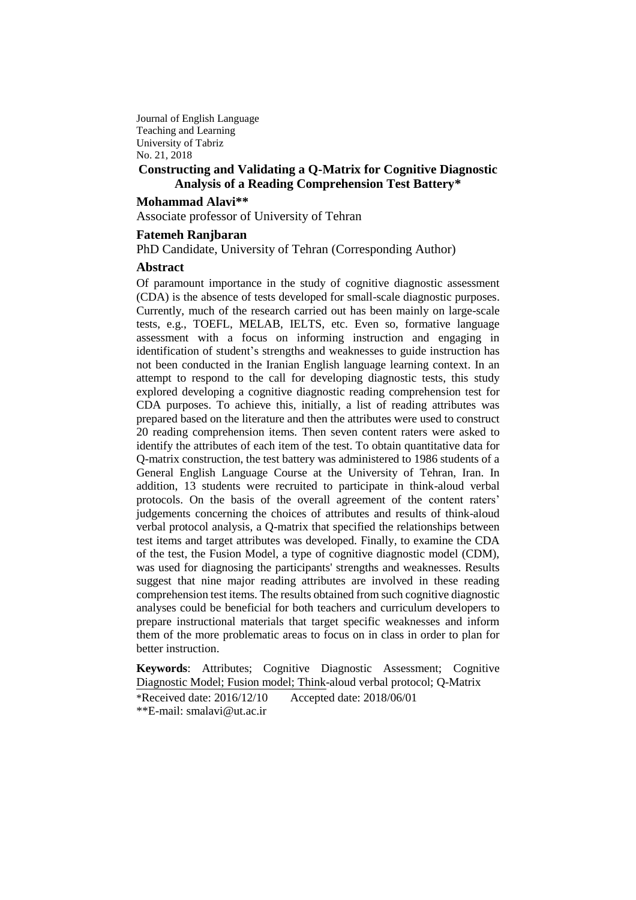Journal of English Language Teaching and Learning University of Tabriz No. 21, 2018

# **Constructing and Validating a Q-Matrix for Cognitive Diagnostic Analysis of a Reading Comprehension Test Battery\***

**Mohammad Alavi\*\***

Associate professor of University of Tehran

### **Fatemeh Ranjbaran**

PhD Candidate, University of Tehran (Corresponding Author)

### **Abstract**

Of paramount importance in the study of cognitive diagnostic assessment (CDA) is the absence of tests developed for small-scale diagnostic purposes. Currently, much of the research carried out has been mainly on large-scale tests, e.g., TOEFL, MELAB, IELTS, etc. Even so, formative language assessment with a focus on informing instruction and engaging in identification of student's strengths and weaknesses to guide instruction has not been conducted in the Iranian English language learning context. In an attempt to respond to the call for developing diagnostic tests, this study explored developing a cognitive diagnostic reading comprehension test for CDA purposes. To achieve this, initially, a list of reading attributes was prepared based on the literature and then the attributes were used to construct 20 reading comprehension items. Then seven content raters were asked to identify the attributes of each item of the test. To obtain quantitative data for Q-matrix construction, the test battery was administered to 1986 students of a General English Language Course at the University of Tehran, Iran. In addition, 13 students were recruited to participate in think-aloud verbal protocols. On the basis of the overall agreement of the content raters' judgements concerning the choices of attributes and results of think-aloud verbal protocol analysis, a Q-matrix that specified the relationships between test items and target attributes was developed. Finally, to examine the CDA of the test, the Fusion Model, a type of cognitive diagnostic model (CDM), was used for diagnosing the participants' strengths and weaknesses. Results suggest that nine major reading attributes are involved in these reading comprehension test items. The results obtained from such cognitive diagnostic analyses could be beneficial for both teachers and curriculum developers to prepare instructional materials that target specific weaknesses and inform them of the more problematic areas to focus on in class in order to plan for better instruction.

**Keywords**: Attributes; Cognitive Diagnostic Assessment; Cognitive Diagnostic Model; Fusion model; Think-aloud verbal protocol; Q-Matrix \*Received date: 2016/12/10 Accepted date: 2018/06/01 \*\*E-mail: [smalavi@ut.ac.ir](mailto:smalavi@ut.ac.ir)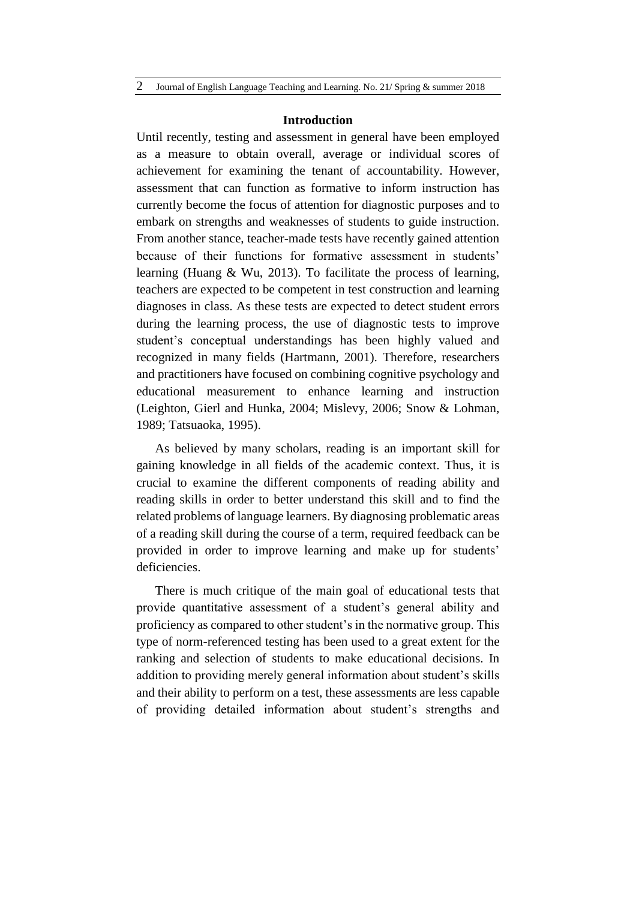#### **Introduction**

Until recently, testing and assessment in general have been employed as a measure to obtain overall, average or individual scores of achievement for examining the tenant of accountability. However, assessment that can function as formative to inform instruction has currently become the focus of attention for diagnostic purposes and to embark on strengths and weaknesses of students to guide instruction. From another stance, teacher-made tests have recently gained attention because of their functions for formative assessment in students' learning (Huang & Wu, 2013). To facilitate the process of learning, teachers are expected to be competent in test construction and learning diagnoses in class. As these tests are expected to detect student errors during the learning process, the use of diagnostic tests to improve student's conceptual understandings has been highly valued and recognized in many fields (Hartmann, 2001). Therefore, researchers and practitioners have focused on combining cognitive psychology and educational measurement to enhance learning and instruction (Leighton, Gierl and Hunka, 2004; Mislevy, 2006; Snow & Lohman, 1989; Tatsuaoka, 1995).

As believed by many scholars, reading is an important skill for gaining knowledge in all fields of the academic context. Thus, it is crucial to examine the different components of reading ability and reading skills in order to better understand this skill and to find the related problems of language learners. By diagnosing problematic areas of a reading skill during the course of a term, required feedback can be provided in order to improve learning and make up for students' deficiencies.

There is much critique of the main goal of educational tests that provide quantitative assessment of a student's general ability and proficiency as compared to other student's in the normative group. This type of norm-referenced testing has been used to a great extent for the ranking and selection of students to make educational decisions. In addition to providing merely general information about student's skills and their ability to perform on a test, these assessments are less capable of providing detailed information about student's strengths and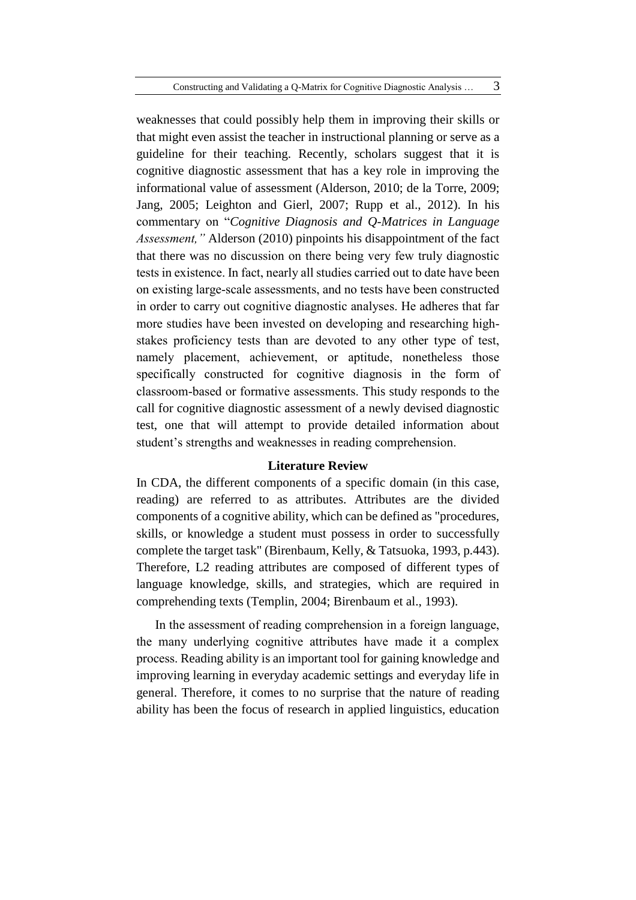weaknesses that could possibly help them in improving their skills or that might even assist the teacher in instructional planning or serve as a guideline for their teaching. Recently, scholars suggest that it is cognitive diagnostic assessment that has a key role in improving the informational value of assessment (Alderson, 2010; de la Torre, 2009; Jang, 2005; Leighton and Gierl, 2007; Rupp et al., 2012). In his commentary on "*Cognitive Diagnosis and Q-Matrices in Language Assessment,"* Alderson (2010) pinpoints his disappointment of the fact that there was no discussion on there being very few truly diagnostic tests in existence. In fact, nearly all studies carried out to date have been on existing large-scale assessments, and no tests have been constructed in order to carry out cognitive diagnostic analyses. He adheres that far more studies have been invested on developing and researching highstakes proficiency tests than are devoted to any other type of test, namely placement, achievement, or aptitude, nonetheless those specifically constructed for cognitive diagnosis in the form of classroom-based or formative assessments. This study responds to the call for cognitive diagnostic assessment of a newly devised diagnostic test, one that will attempt to provide detailed information about student's strengths and weaknesses in reading comprehension.

#### **Literature Review**

In CDA, the different components of a specific domain (in this case, reading) are referred to as attributes. Attributes are the divided components of a cognitive ability, which can be defined as "procedures, skills, or knowledge a student must possess in order to successfully complete the target task" (Birenbaum, Kelly, & Tatsuoka, 1993, p.443). Therefore, L2 reading attributes are composed of different types of language knowledge, skills, and strategies, which are required in comprehending texts (Templin, 2004; Birenbaum et al., 1993).

In the assessment of reading comprehension in a foreign language, the many underlying cognitive attributes have made it a complex process. Reading ability is an important tool for gaining knowledge and improving learning in everyday academic settings and everyday life in general. Therefore, it comes to no surprise that the nature of reading ability has been the focus of research in applied linguistics, education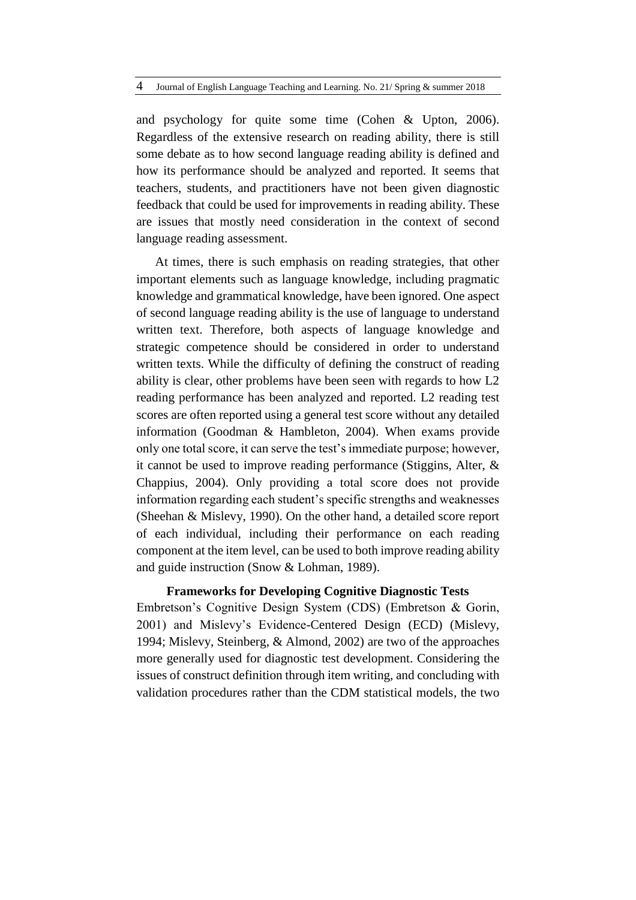and psychology for quite some time (Cohen & Upton, 2006). Regardless of the extensive research on reading ability, there is still some debate as to how second language reading ability is defined and how its performance should be analyzed and reported. It seems that teachers, students, and practitioners have not been given diagnostic feedback that could be used for improvements in reading ability. These are issues that mostly need consideration in the context of second language reading assessment.

At times, there is such emphasis on reading strategies, that other important elements such as language knowledge, including pragmatic knowledge and grammatical knowledge, have been ignored. One aspect of second language reading ability is the use of language to understand written text. Therefore, both aspects of language knowledge and strategic competence should be considered in order to understand written texts. While the difficulty of defining the construct of reading ability is clear, other problems have been seen with regards to how L2 reading performance has been analyzed and reported. L2 reading test scores are often reported using a general test score without any detailed information (Goodman & Hambleton, 2004). When exams provide only one total score, it can serve the test's immediate purpose; however, it cannot be used to improve reading performance (Stiggins, Alter, & Chappius, 2004). Only providing a total score does not provide information regarding each student's specific strengths and weaknesses (Sheehan & Mislevy, 1990). On the other hand, a detailed score report of each individual, including their performance on each reading component at the item level, can be used to both improve reading ability and guide instruction (Snow & Lohman, 1989).

## **Frameworks for Developing Cognitive Diagnostic Tests**

Embretson's Cognitive Design System (CDS) (Embretson & Gorin, 2001) and Mislevy's Evidence-Centered Design (ECD) (Mislevy, 1994; Mislevy, Steinberg, & Almond, 2002) are two of the approaches more generally used for diagnostic test development. Considering the issues of construct definition through item writing, and concluding with validation procedures rather than the CDM statistical models, the two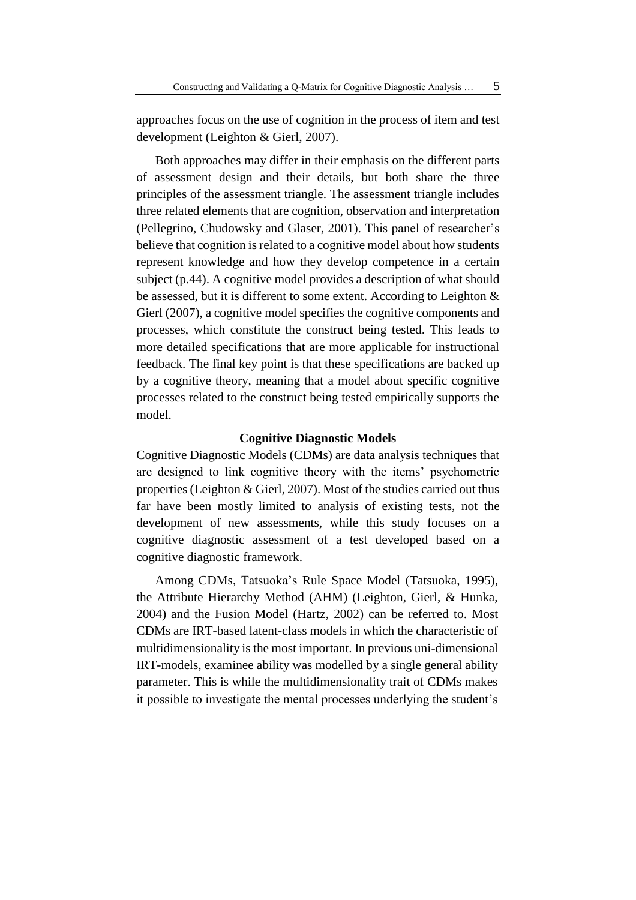approaches focus on the use of cognition in the process of item and test development (Leighton & Gierl, 2007).

Both approaches may differ in their emphasis on the different parts of assessment design and their details, but both share the three principles of the assessment triangle. The assessment triangle includes three related elements that are cognition, observation and interpretation (Pellegrino, Chudowsky and Glaser, 2001). This panel of researcher's believe that cognition is related to a cognitive model about how students represent knowledge and how they develop competence in a certain subject (p.44). A cognitive model provides a description of what should be assessed, but it is different to some extent. According to Leighton & Gierl (2007), a cognitive model specifies the cognitive components and processes, which constitute the construct being tested. This leads to more detailed specifications that are more applicable for instructional feedback. The final key point is that these specifications are backed up by a cognitive theory, meaning that a model about specific cognitive processes related to the construct being tested empirically supports the model.

### **Cognitive Diagnostic Models**

Cognitive Diagnostic Models (CDMs) are data analysis techniques that are designed to link cognitive theory with the items' psychometric properties (Leighton & Gierl, 2007). Most of the studies carried out thus far have been mostly limited to analysis of existing tests, not the development of new assessments, while this study focuses on a cognitive diagnostic assessment of a test developed based on a cognitive diagnostic framework.

Among CDMs, Tatsuoka's Rule Space Model (Tatsuoka, 1995), the Attribute Hierarchy Method (AHM) (Leighton, Gierl, & Hunka, 2004) and the Fusion Model (Hartz, 2002) can be referred to. Most CDMs are IRT-based latent-class models in which the characteristic of multidimensionality is the most important. In previous uni-dimensional IRT-models, examinee ability was modelled by a single general ability parameter. This is while the multidimensionality trait of CDMs makes it possible to investigate the mental processes underlying the student's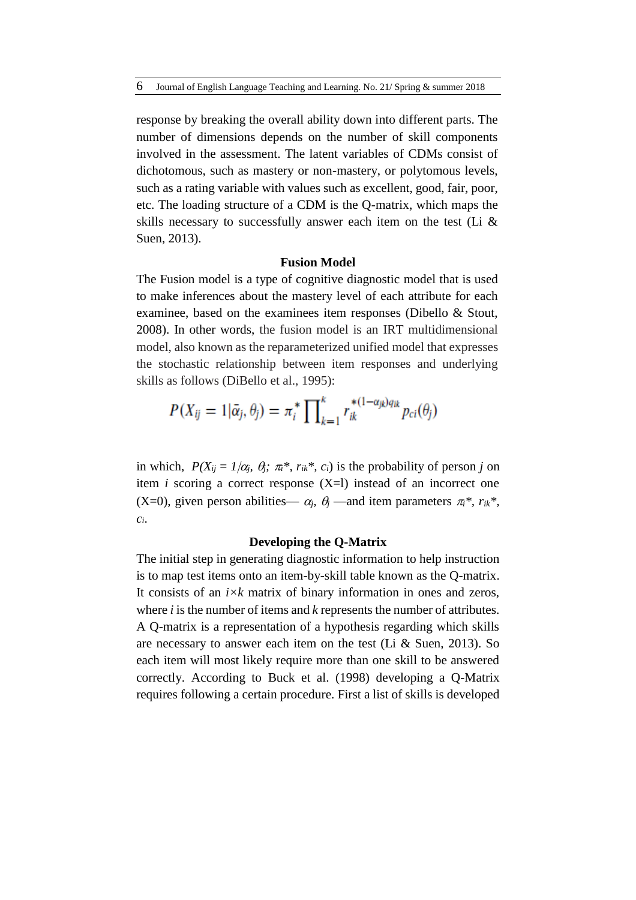response by breaking the overall ability down into different parts. The number of dimensions depends on the number of skill components involved in the assessment. The latent variables of CDMs consist of dichotomous, such as mastery or non-mastery, or polytomous levels, such as a rating variable with values such as excellent, good, fair, poor, etc. The loading structure of a CDM is the Q-matrix, which maps the skills necessary to successfully answer each item on the test (Li & Suen, 2013).

# **Fusion Model**

The Fusion model is a type of cognitive diagnostic model that is used to make inferences about the mastery level of each attribute for each examinee, based on the examinees item responses (Dibello & Stout, 2008). In other words, the fusion model is an IRT multidimensional model, also known as the reparameterized unified model that expresses the stochastic relationship between item responses and underlying skills as follows (DiBello et al., 1995):

$$
P(X_{ij}=1|\bar{\alpha}_j,\theta_j)=\pi_i^*\prod\nolimits_{k=1}^k r_{ik}^{*(1-\alpha_{jk})q_{ik}}p_{ci}(\theta_j)
$$

in which,  $P(X_{ij} = 1/\alpha_i, \theta_j; \pi_i^*, r_{ik}^*, c_i)$  is the probability of person *j* on item *i* scoring a correct response (X=l) instead of an incorrect one (X=0), given person abilities—  $\alpha_j$ ,  $\theta_j$  —and item parameters  $\pi_i^*$ ,  $r_{ik}^*$ , *ci*.

### **Developing the Q-Matrix**

The initial step in generating diagnostic information to help instruction is to map test items onto an item-by-skill table known as the Q-matrix. It consists of an *i×k* matrix of binary information in ones and zeros, where *i* is the number of items and *k* represents the number of attributes. A Q-matrix is a representation of a hypothesis regarding which skills are necessary to answer each item on the test (Li & Suen, 2013). So each item will most likely require more than one skill to be answered correctly. According to Buck et al. (1998) developing a Q-Matrix requires following a certain procedure. First a list of skills is developed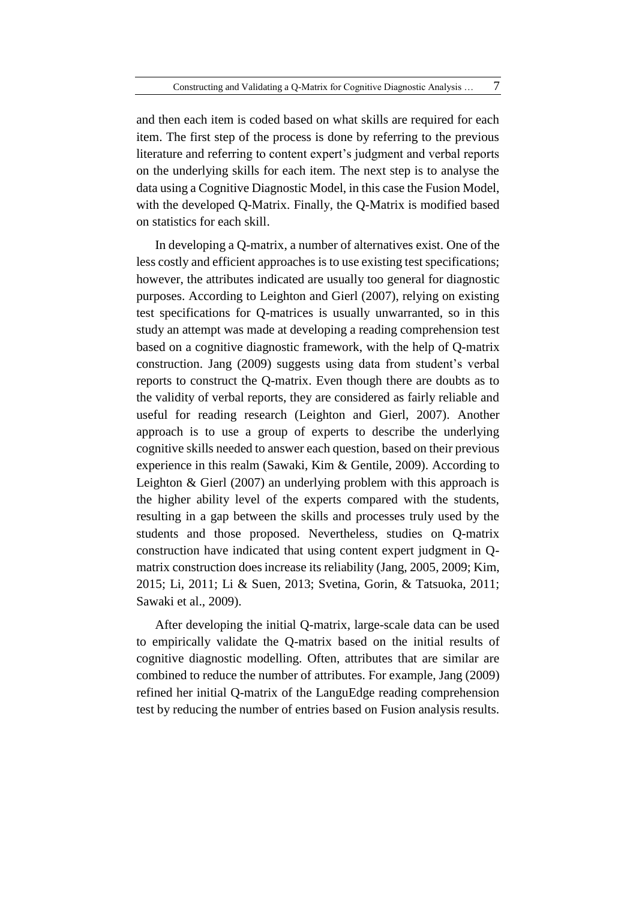and then each item is coded based on what skills are required for each item. The first step of the process is done by referring to the previous literature and referring to content expert's judgment and verbal reports on the underlying skills for each item. The next step is to analyse the data using a Cognitive Diagnostic Model, in this case the Fusion Model, with the developed Q-Matrix. Finally, the Q-Matrix is modified based on statistics for each skill.

In developing a Q-matrix, a number of alternatives exist. One of the less costly and efficient approaches is to use existing test specifications; however, the attributes indicated are usually too general for diagnostic purposes. According to Leighton and Gierl (2007), relying on existing test specifications for Q-matrices is usually unwarranted, so in this study an attempt was made at developing a reading comprehension test based on a cognitive diagnostic framework, with the help of Q-matrix construction. Jang (2009) suggests using data from student's verbal reports to construct the Q-matrix. Even though there are doubts as to the validity of verbal reports, they are considered as fairly reliable and useful for reading research (Leighton and Gierl, 2007). Another approach is to use a group of experts to describe the underlying cognitive skills needed to answer each question, based on their previous experience in this realm (Sawaki, Kim & Gentile, 2009). According to Leighton & Gierl (2007) an underlying problem with this approach is the higher ability level of the experts compared with the students, resulting in a gap between the skills and processes truly used by the students and those proposed. Nevertheless, studies on Q-matrix construction have indicated that using content expert judgment in Qmatrix construction does increase its reliability (Jang, 2005, 2009; Kim, 2015; Li, 2011; Li & Suen, 2013; Svetina, Gorin, & Tatsuoka, 2011; Sawaki et al., 2009).

After developing the initial Q-matrix, large-scale data can be used to empirically validate the Q-matrix based on the initial results of cognitive diagnostic modelling. Often, attributes that are similar are combined to reduce the number of attributes. For example, Jang (2009) refined her initial Q-matrix of the LanguEdge reading comprehension test by reducing the number of entries based on Fusion analysis results.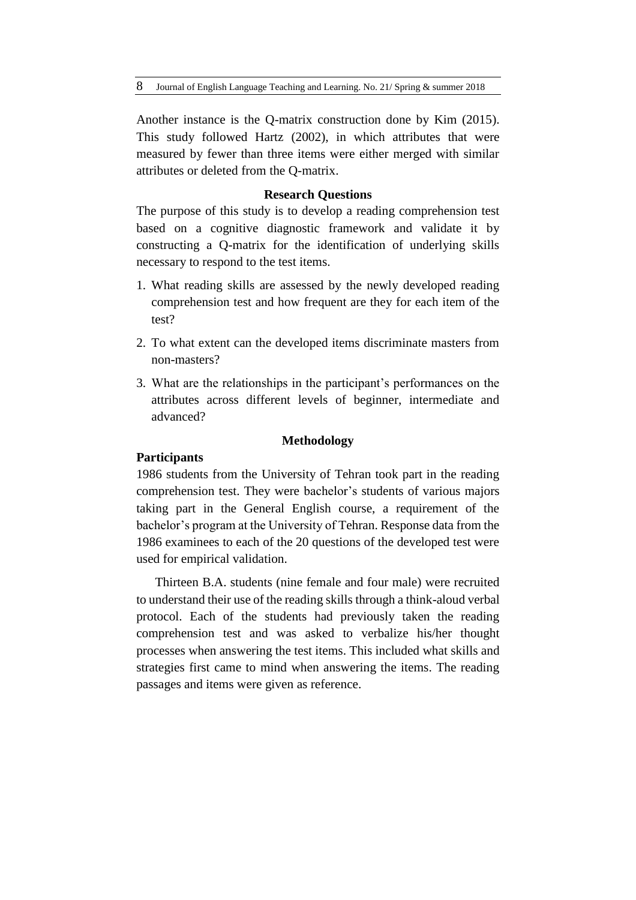Another instance is the Q-matrix construction done by Kim (2015). This study followed Hartz (2002), in which attributes that were measured by fewer than three items were either merged with similar attributes or deleted from the Q-matrix.

### **Research Questions**

The purpose of this study is to develop a reading comprehension test based on a cognitive diagnostic framework and validate it by constructing a Q-matrix for the identification of underlying skills necessary to respond to the test items.

- 1. What reading skills are assessed by the newly developed reading comprehension test and how frequent are they for each item of the test?
- 2. To what extent can the developed items discriminate masters from non-masters?
- 3. What are the relationships in the participant's performances on the attributes across different levels of beginner, intermediate and advanced?

### **Methodology**

# **Participants**

1986 students from the University of Tehran took part in the reading comprehension test. They were bachelor's students of various majors taking part in the General English course, a requirement of the bachelor's program at the University of Tehran. Response data from the 1986 examinees to each of the 20 questions of the developed test were used for empirical validation.

Thirteen B.A. students (nine female and four male) were recruited to understand their use of the reading skills through a think-aloud verbal protocol. Each of the students had previously taken the reading comprehension test and was asked to verbalize his/her thought processes when answering the test items. This included what skills and strategies first came to mind when answering the items. The reading passages and items were given as reference.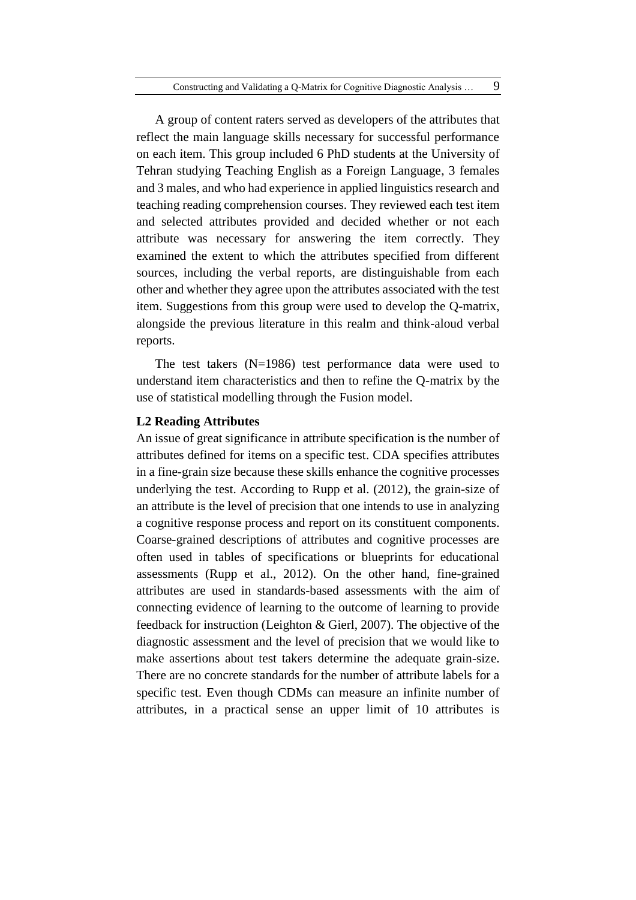A group of content raters served as developers of the attributes that reflect the main language skills necessary for successful performance on each item. This group included 6 PhD students at the University of Tehran studying Teaching English as a Foreign Language, 3 females and 3 males, and who had experience in applied linguistics research and teaching reading comprehension courses. They reviewed each test item and selected attributes provided and decided whether or not each attribute was necessary for answering the item correctly. They examined the extent to which the attributes specified from different sources, including the verbal reports, are distinguishable from each other and whether they agree upon the attributes associated with the test item. Suggestions from this group were used to develop the Q-matrix, alongside the previous literature in this realm and think-aloud verbal reports.

The test takers (N=1986) test performance data were used to understand item characteristics and then to refine the Q-matrix by the use of statistical modelling through the Fusion model.

# **L2 Reading Attributes**

An issue of great significance in attribute specification is the number of attributes defined for items on a specific test. CDA specifies attributes in a fine-grain size because these skills enhance the cognitive processes underlying the test. According to Rupp et al. (2012), the grain-size of an attribute is the level of precision that one intends to use in analyzing a cognitive response process and report on its constituent components. Coarse-grained descriptions of attributes and cognitive processes are often used in tables of specifications or blueprints for educational assessments (Rupp et al., 2012). On the other hand, fine-grained attributes are used in standards-based assessments with the aim of connecting evidence of learning to the outcome of learning to provide feedback for instruction (Leighton & Gierl, 2007). The objective of the diagnostic assessment and the level of precision that we would like to make assertions about test takers determine the adequate grain-size. There are no concrete standards for the number of attribute labels for a specific test. Even though CDMs can measure an infinite number of attributes, in a practical sense an upper limit of 10 attributes is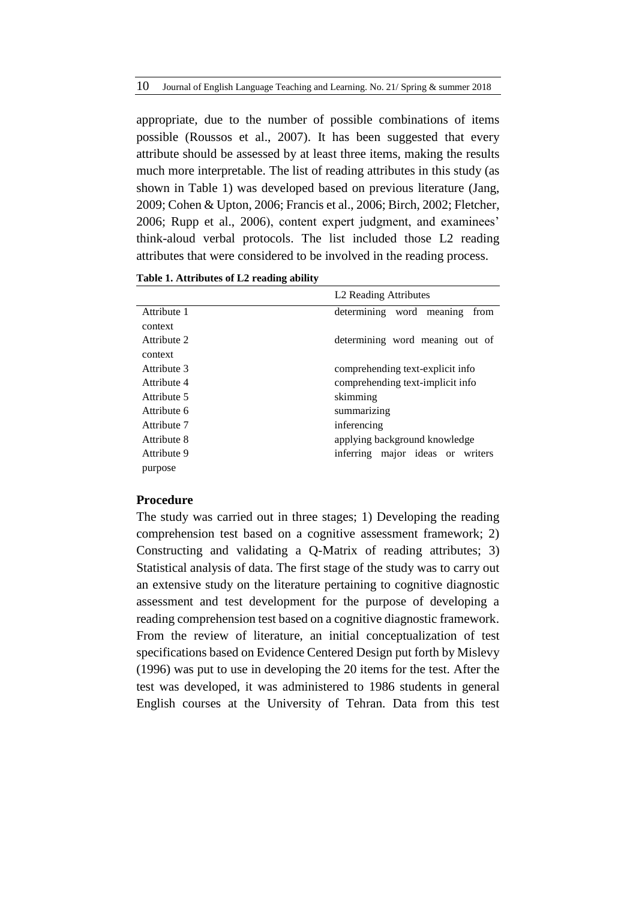appropriate, due to the number of possible combinations of items possible (Roussos et al., 2007). It has been suggested that every attribute should be assessed by at least three items, making the results much more interpretable. The list of reading attributes in this study (as shown in Table 1) was developed based on previous literature (Jang, 2009; Cohen & Upton, 2006; Francis et al., 2006; Birch, 2002; Fletcher, 2006; Rupp et al., 2006), content expert judgment, and examinees' think-aloud verbal protocols. The list included those L2 reading attributes that were considered to be involved in the reading process.

|             | L <sub>2</sub> Reading Attributes |  |  |  |  |  |
|-------------|-----------------------------------|--|--|--|--|--|
| Attribute 1 | determining word meaning<br>from  |  |  |  |  |  |
| context     |                                   |  |  |  |  |  |
| Attribute 2 | determining word meaning out of   |  |  |  |  |  |
| context     |                                   |  |  |  |  |  |
| Attribute 3 | comprehending text-explicit info  |  |  |  |  |  |
| Attribute 4 | comprehending text-implicit info  |  |  |  |  |  |
| Attribute 5 | skimming                          |  |  |  |  |  |
| Attribute 6 | summarizing                       |  |  |  |  |  |
| Attribute 7 | inferencing                       |  |  |  |  |  |
| Attribute 8 | applying background knowledge     |  |  |  |  |  |
| Attribute 9 | inferring major ideas or writers  |  |  |  |  |  |
| purpose     |                                   |  |  |  |  |  |

**Table 1. Attributes of L2 reading ability**

#### **Procedure**

The study was carried out in three stages; 1) Developing the reading comprehension test based on a cognitive assessment framework; 2) Constructing and validating a Q-Matrix of reading attributes; 3) Statistical analysis of data. The first stage of the study was to carry out an extensive study on the literature pertaining to cognitive diagnostic assessment and test development for the purpose of developing a reading comprehension test based on a cognitive diagnostic framework. From the review of literature, an initial conceptualization of test specifications based on Evidence Centered Design put forth by Mislevy (1996) was put to use in developing the 20 items for the test. After the test was developed, it was administered to 1986 students in general English courses at the University of Tehran. Data from this test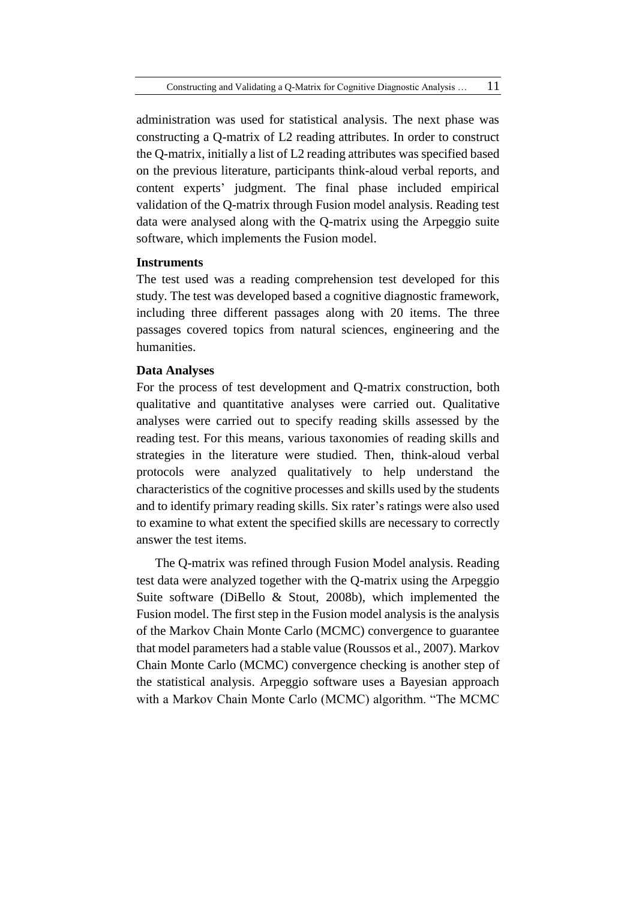administration was used for statistical analysis. The next phase was constructing a Q-matrix of L2 reading attributes. In order to construct the Q-matrix, initially a list of L2 reading attributes was specified based on the previous literature, participants think-aloud verbal reports, and content experts' judgment. The final phase included empirical validation of the Q-matrix through Fusion model analysis. Reading test data were analysed along with the Q-matrix using the Arpeggio suite software, which implements the Fusion model.

### **Instruments**

The test used was a reading comprehension test developed for this study. The test was developed based a cognitive diagnostic framework, including three different passages along with 20 items. The three passages covered topics from natural sciences, engineering and the humanities.

# **Data Analyses**

For the process of test development and Q-matrix construction, both qualitative and quantitative analyses were carried out. Qualitative analyses were carried out to specify reading skills assessed by the reading test. For this means, various taxonomies of reading skills and strategies in the literature were studied. Then, think-aloud verbal protocols were analyzed qualitatively to help understand the characteristics of the cognitive processes and skills used by the students and to identify primary reading skills. Six rater's ratings were also used to examine to what extent the specified skills are necessary to correctly answer the test items.

The Q-matrix was refined through Fusion Model analysis. Reading test data were analyzed together with the Q-matrix using the Arpeggio Suite software (DiBello & Stout, 2008b), which implemented the Fusion model. The first step in the Fusion model analysis is the analysis of the Markov Chain Monte Carlo (MCMC) convergence to guarantee that model parameters had a stable value (Roussos et al., 2007). Markov Chain Monte Carlo (MCMC) convergence checking is another step of the statistical analysis. Arpeggio software uses a Bayesian approach with a Markov Chain Monte Carlo (MCMC) algorithm. "The MCMC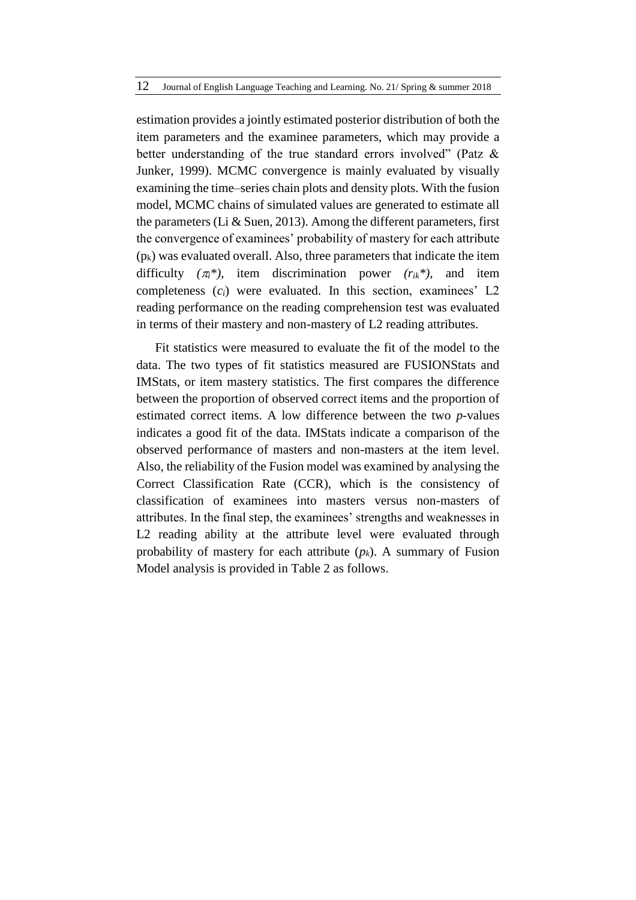estimation provides a jointly estimated posterior distribution of both the item parameters and the examinee parameters, which may provide a better understanding of the true standard errors involved" (Patz & Junker, 1999). MCMC convergence is mainly evaluated by visually examining the time–series chain plots and density plots. With the fusion model, MCMC chains of simulated values are generated to estimate all the parameters (Li & Suen, 2013). Among the different parameters, first the convergence of examinees' probability of mastery for each attribute  $(p_k)$  was evaluated overall. Also, three parameters that indicate the item difficulty  $(\pi_i^*)$ , item discrimination power  $(r_{ik}^*)$ , and item completeness  $(c_i)$  were evaluated. In this section, examinees' L<sub>2</sub> reading performance on the reading comprehension test was evaluated in terms of their mastery and non-mastery of L2 reading attributes.

Fit statistics were measured to evaluate the fit of the model to the data. The two types of fit statistics measured are FUSIONStats and IMStats, or item mastery statistics. The first compares the difference between the proportion of observed correct items and the proportion of estimated correct items. A low difference between the two *p*-values indicates a good fit of the data. IMStats indicate a comparison of the observed performance of masters and non-masters at the item level. Also, the reliability of the Fusion model was examined by analysing the Correct Classification Rate (CCR), which is the consistency of classification of examinees into masters versus non-masters of attributes. In the final step, the examinees' strengths and weaknesses in L2 reading ability at the attribute level were evaluated through probability of mastery for each attribute (*pk*). A summary of Fusion Model analysis is provided in Table 2 as follows.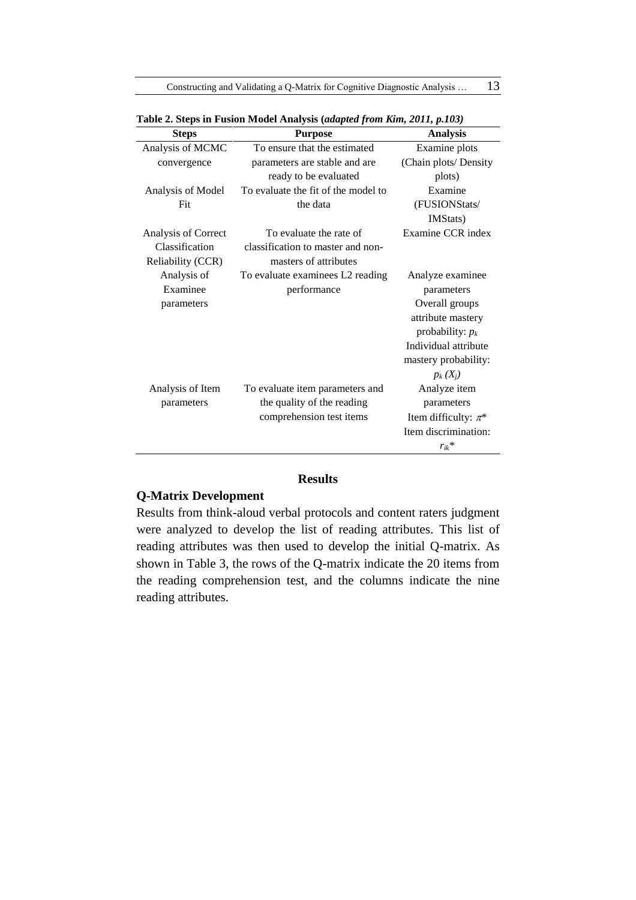Constructing and Validating a Q-Matrix for Cognitive Diagnostic Analysis ... 13

| <b>Steps</b>        | <b>Purpose</b>                      | <b>Analysis</b>          |
|---------------------|-------------------------------------|--------------------------|
| Analysis of MCMC    | To ensure that the estimated        | Examine plots            |
| convergence         | parameters are stable and are       | (Chain plots/ Density    |
|                     | ready to be evaluated               | plots)                   |
| Analysis of Model   | To evaluate the fit of the model to | Examine                  |
| Fit                 | the data                            | (FUSIONStats/            |
|                     |                                     | IMStats)                 |
| Analysis of Correct | To evaluate the rate of             | Examine CCR index        |
| Classification      | classification to master and non-   |                          |
| Reliability (CCR)   | masters of attributes               |                          |
| Analysis of         | To evaluate examinees L2 reading    | Analyze examinee         |
| Examinee            | performance                         | parameters               |
| parameters          |                                     | Overall groups           |
|                     |                                     | attribute mastery        |
|                     |                                     | probability: $p_k$       |
|                     |                                     | Individual attribute     |
|                     |                                     | mastery probability:     |
|                     |                                     | $p_k(X_i)$               |
| Analysis of Item    | To evaluate item parameters and     | Analyze item             |
| parameters          | the quality of the reading          | parameters               |
|                     | comprehension test items            | Item difficulty: $\pi^*$ |
|                     |                                     | Item discrimination:     |
|                     |                                     | $r_{ik}$ *               |

**Table 2. Steps in Fusion Model Analysis (***adapted from Kim, 2011, p.103)*

### **Results**

# **Q-Matrix Development**

Results from think-aloud verbal protocols and content raters judgment were analyzed to develop the list of reading attributes. This list of reading attributes was then used to develop the initial Q-matrix. As shown in Table 3, the rows of the Q-matrix indicate the 20 items from the reading comprehension test, and the columns indicate the nine reading attributes.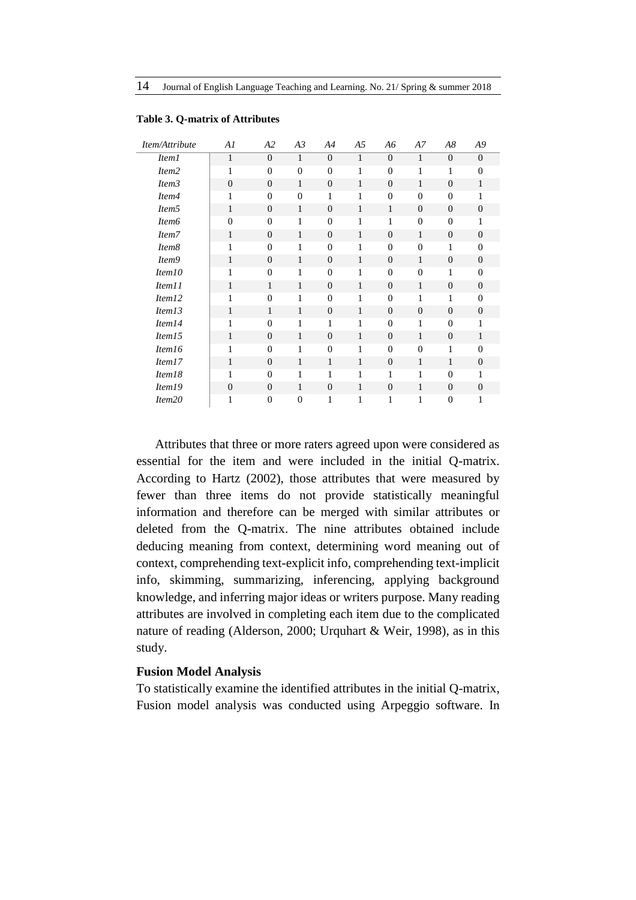| Item/Attribute     | Al             | A2           | A3             | A4             | A5           | A6               | Α7             | A8             | A9               |
|--------------------|----------------|--------------|----------------|----------------|--------------|------------------|----------------|----------------|------------------|
| <i>Item1</i>       | 1              | $\Omega$     | 1              | $\Omega$       | $\mathbf{1}$ | $\overline{0}$   | 1              | $\overline{0}$ | $\theta$         |
| Item <sub>2</sub>  | 1              | $\mathbf{0}$ | $\mathbf{0}$   | $\overline{0}$ | 1            | $\overline{0}$   | 1              | 1              | $\theta$         |
| Item <sub>3</sub>  | $\theta$       | $\mathbf{0}$ | $\mathbf{1}$   | $\theta$       | 1            | $\overline{0}$   | 1              | $\overline{0}$ | $\mathbf{1}$     |
| Item4              | 1              | $\mathbf{0}$ | $\Omega$       | 1              | 1            | $\theta$         | $\theta$       | $\overline{0}$ | 1                |
| Item <sub>5</sub>  | 1              | $\mathbf{0}$ | 1              | $\theta$       | 1            | 1                | $\theta$       | $\overline{0}$ | $\theta$         |
| Item <sub>6</sub>  | $\mathbf{0}$   | $\Omega$     | 1              | $\overline{0}$ | 1            | 1                | $\overline{0}$ | $\overline{0}$ | 1                |
| Item7              | 1              | $\mathbf{0}$ | 1              | $\overline{0}$ | 1            | $\theta$         | 1              | $\overline{0}$ | $\theta$         |
| Item8              | 1              | $\mathbf{0}$ | 1              | $\mathbf{0}$   | 1            | $\overline{0}$   | $\overline{0}$ | 1              | $\overline{0}$   |
| Item9              | 1              | $\theta$     | 1              | $\theta$       | 1            | $\theta$         | 1              | $\overline{0}$ | $\theta$         |
| Item <sub>10</sub> | 1              | $\mathbf{0}$ | 1              | $\overline{0}$ | 1            | $\overline{0}$   | $\overline{0}$ | 1              | $\theta$         |
| Item <sub>11</sub> | 1              | 1            | 1              | $\Omega$       | 1            | $\boldsymbol{0}$ | 1              | $\overline{0}$ | $\theta$         |
| Item12             | 1              | $\Omega$     | 1              | $\theta$       | 1            | $\overline{0}$   | 1              | 1              | $\theta$         |
| Item13             | 1              | 1            | $\mathbf{1}$   | $\overline{0}$ | 1            | $\mathbf{0}$     | $\theta$       | $\overline{0}$ | $\boldsymbol{0}$ |
| Item14             | 1              | $\Omega$     | 1              | 1              | 1            | $\boldsymbol{0}$ | 1              | $\overline{0}$ | 1                |
| Item15             | 1              | $\Omega$     | 1              | $\Omega$       | 1            | $\theta$         | 1              | $\overline{0}$ | 1                |
| Item <sub>16</sub> | 1              | $\Omega$     | 1              | $\theta$       | 1            | $\overline{0}$   | $\overline{0}$ | 1              | $\Omega$         |
| Item17             | 1              | $\Omega$     | 1              | 1              | 1            | $\theta$         | 1              | $\mathbf{1}$   | $\theta$         |
| Item18             | 1              | $\mathbf{0}$ | 1              | 1              | 1            | 1                | 1              | $\overline{0}$ | 1                |
| Item19             | $\overline{0}$ | $\theta$     | 1              | $\overline{0}$ | 1            | $\theta$         | 1              | $\overline{0}$ | $\overline{0}$   |
| Item <sub>20</sub> | 1              | $\mathbf{0}$ | $\overline{0}$ | 1              | 1            | 1                | 1              | $\overline{0}$ | 1                |

#### **Table 3. Q-matrix of Attributes**

Attributes that three or more raters agreed upon were considered as essential for the item and were included in the initial Q-matrix. According to Hartz (2002), those attributes that were measured by fewer than three items do not provide statistically meaningful information and therefore can be merged with similar attributes or deleted from the Q-matrix. The nine attributes obtained include deducing meaning from context, determining word meaning out of context, comprehending text-explicit info, comprehending text-implicit info, skimming, summarizing, inferencing, applying background knowledge, and inferring major ideas or writers purpose. Many reading attributes are involved in completing each item due to the complicated nature of reading (Alderson, 2000; Urquhart & Weir, 1998), as in this study.

### **Fusion Model Analysis**

To statistically examine the identified attributes in the initial Q-matrix, Fusion model analysis was conducted using Arpeggio software. In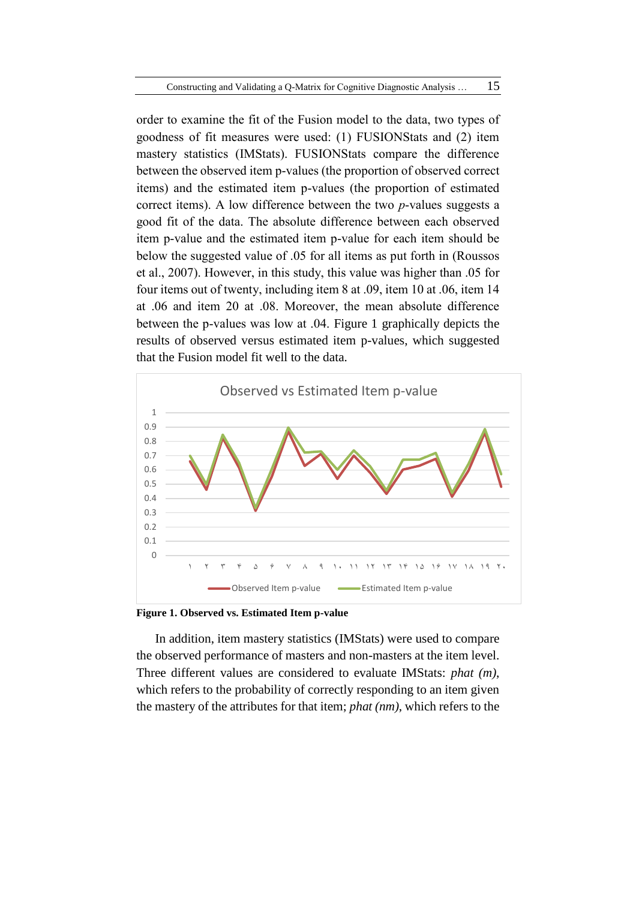order to examine the fit of the Fusion model to the data, two types of goodness of fit measures were used: (1) FUSIONStats and (2) item mastery statistics (IMStats). FUSIONStats compare the difference between the observed item p-values (the proportion of observed correct items) and the estimated item p-values (the proportion of estimated correct items). A low difference between the two *p*-values suggests a good fit of the data. The absolute difference between each observed item p-value and the estimated item p-value for each item should be below the suggested value of .05 for all items as put forth in (Roussos et al., 2007). However, in this study, this value was higher than .05 for four items out of twenty, including item 8 at .09, item 10 at .06, item 14 at .06 and item 20 at .08. Moreover, the mean absolute difference between the p-values was low at .04. Figure 1 graphically depicts the results of observed versus estimated item p-values, which suggested that the Fusion model fit well to the data.



**Figure 1. Observed vs. Estimated Item p-value**

In addition, item mastery statistics (IMStats) were used to compare the observed performance of masters and non-masters at the item level. Three different values are considered to evaluate IMStats: *phat (m)*, which refers to the probability of correctly responding to an item given the mastery of the attributes for that item; *phat (nm)*, which refers to the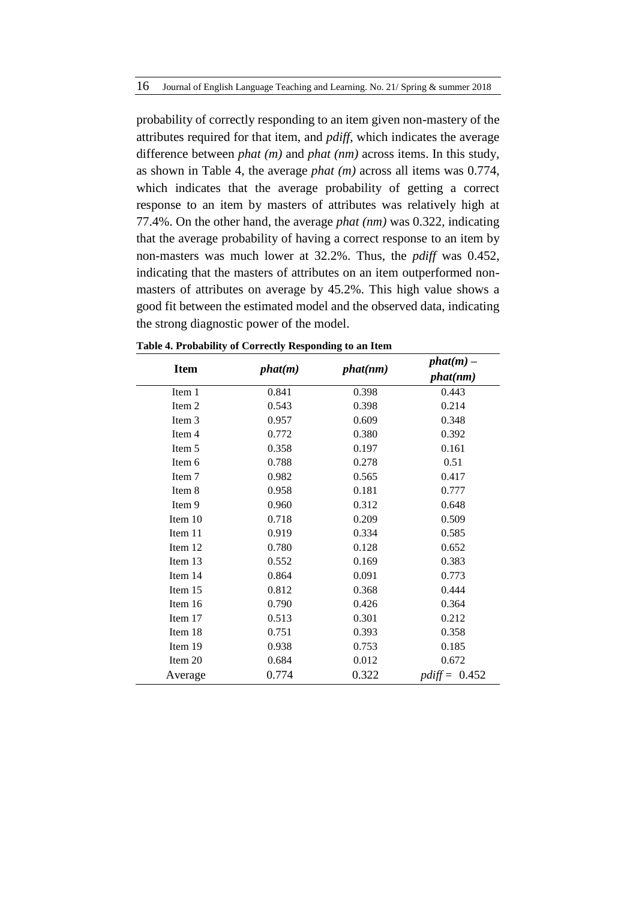probability of correctly responding to an item given non-mastery of the attributes required for that item, and *pdiff*, which indicates the average difference between *phat (m)* and *phat (nm)* across items. In this study, as shown in Table 4, the average *phat (m)* across all items was 0.774, which indicates that the average probability of getting a correct response to an item by masters of attributes was relatively high at 77.4%. On the other hand, the average *phat (nm)* was 0.322, indicating that the average probability of having a correct response to an item by non-masters was much lower at 32.2%. Thus, the *pdiff* was 0.452, indicating that the masters of attributes on an item outperformed nonmasters of attributes on average by 45.2%. This high value shows a good fit between the estimated model and the observed data, indicating the strong diagnostic power of the model.

| <b>Item</b> | phat(m) |       | $phat(m)$ –<br>phat(nm) |
|-------------|---------|-------|-------------------------|
| Item 1      | 0.841   | 0.398 | 0.443                   |
| Item 2      | 0.543   | 0.398 | 0.214                   |
| Item 3      | 0.957   | 0.609 | 0.348                   |
| Item 4      | 0.772   | 0.380 | 0.392                   |
| Item 5      | 0.358   | 0.197 | 0.161                   |
| Item 6      | 0.788   | 0.278 | 0.51                    |
| Item 7      | 0.982   | 0.565 | 0.417                   |
| Item 8      | 0.958   | 0.181 | 0.777                   |
| Item 9      | 0.960   | 0.312 | 0.648                   |
| Item 10     | 0.718   | 0.209 | 0.509                   |
| Item 11     | 0.919   | 0.334 | 0.585                   |
| Item 12     | 0.780   | 0.128 | 0.652                   |
| Item 13     | 0.552   | 0.169 | 0.383                   |
| Item 14     | 0.864   | 0.091 | 0.773                   |
| Item 15     | 0.812   | 0.368 | 0.444                   |
| Item 16     | 0.790   | 0.426 | 0.364                   |
| Item 17     | 0.513   | 0.301 | 0.212                   |
| Item 18     | 0.751   | 0.393 | 0.358                   |
| Item 19     | 0.938   | 0.753 | 0.185                   |
| Item 20     | 0.684   | 0.012 | 0.672                   |
| Average     | 0.774   | 0.322 | $pdf = 0.452$           |

**Table 4. Probability of Correctly Responding to an Item**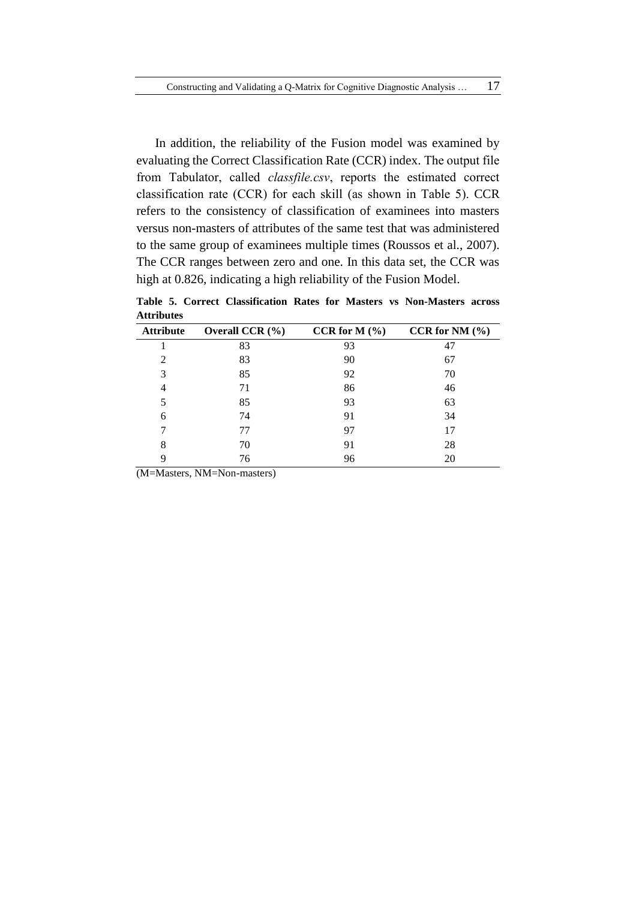In addition, the reliability of the Fusion model was examined by evaluating the Correct Classification Rate (CCR) index. The output file from Tabulator, called *classfile.csv*, reports the estimated correct classification rate (CCR) for each skill (as shown in Table 5). CCR refers to the consistency of classification of examinees into masters versus non-masters of attributes of the same test that was administered to the same group of examinees multiple times (Roussos et al., 2007). The CCR ranges between zero and one. In this data set, the CCR was high at 0.826, indicating a high reliability of the Fusion Model.

**Table 5. Correct Classification Rates for Masters vs Non-Masters across Attributes** 

| <b>Attribute</b>            | Overall CCR $(\% )$ | CCR for $M(\%)$ | CCR for NM $(\% )$ |
|-----------------------------|---------------------|-----------------|--------------------|
|                             | 83                  | 93              | 47                 |
| $\mathcal{D}_{\mathcal{L}}$ | 83                  | 90              | 67                 |
| 3                           | 85                  | 92              | 70                 |
| 4                           | 71                  | 86              | 46                 |
| 5                           | 85                  | 93              | 63                 |
| 6                           | 74                  | 91              | 34                 |
|                             | 77                  | 97              | 17                 |
| 8                           | 70                  | 91              | 28                 |
| q                           | 76                  | 96              | 20                 |

(M=Masters, NM=Non-masters)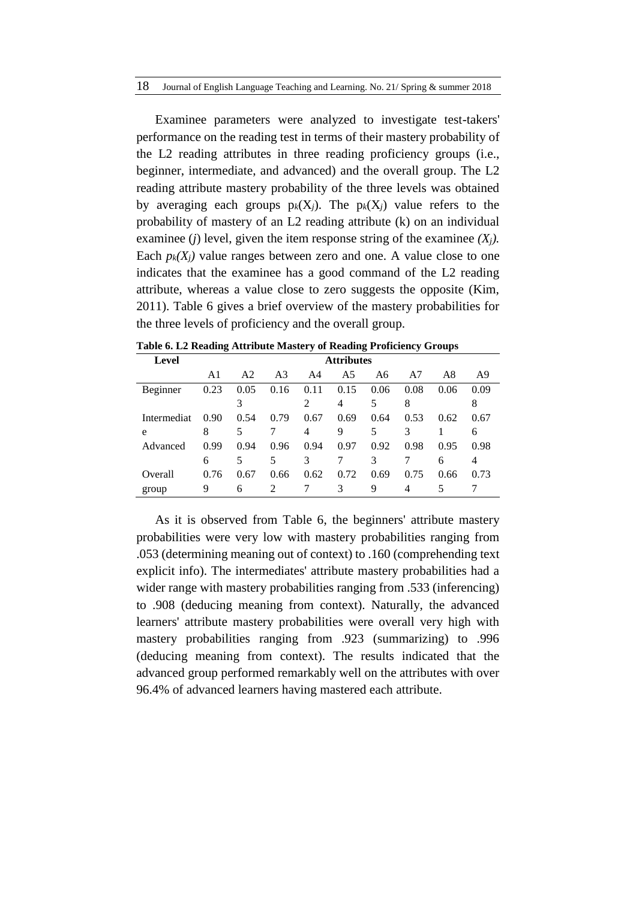Examinee parameters were analyzed to investigate test-takers' performance on the reading test in terms of their mastery probability of the L2 reading attributes in three reading proficiency groups (i.e., beginner, intermediate, and advanced) and the overall group. The L2 reading attribute mastery probability of the three levels was obtained by averaging each groups  $p_k(X_i)$ . The  $p_k(X_i)$  value refers to the probability of mastery of an L2 reading attribute (k) on an individual examinee *(j)* level, given the item response string of the examinee  $(X_i)$ . Each  $p_k(X_i)$  value ranges between zero and one. A value close to one indicates that the examinee has a good command of the L2 reading attribute, whereas a value close to zero suggests the opposite (Kim, 2011). Table 6 gives a brief overview of the mastery probabilities for the three levels of proficiency and the overall group.

| Level       | <b>Attributes</b> |                |                |          |      |      |      |      |      |
|-------------|-------------------|----------------|----------------|----------|------|------|------|------|------|
|             | A1                | A <sub>2</sub> | A <sub>3</sub> | A4       | A5   | A6   | A7   | A8   | A9   |
| Beginner    | 0.23              | 0.05           | 0.16           | 11<br>0. | 0.15 | 0.06 | 0.08 | 0.06 | 0.09 |
|             |                   |                |                |          | 4    | 5    | 8    |      | 8    |
| Intermediat | 0.90              | 0.54           | 0.79           | 0.67     | 0.69 | 0.64 | 0.53 | 0.62 | 0.67 |
| e           | 8                 | 5              |                | 4        | 9    | 5    | 3    |      | 6    |
| Advanced    | 0.99              | 0.94           | 0.96           | 0.94     | 0.97 | 0.92 | 0.98 | 0.95 | 0.98 |
|             | 6                 | 5              | 5              | 3        |      | 3    |      | 6    | 4    |
| Overall     | 0.76              | 0.67           | 0.66           | 0.62     | 0.72 | 0.69 | 0.75 | 0.66 | 0.73 |
| group       | 9                 | 6              | $\mathfrak{D}$ |          | 3    | 9    | 4    | 5    |      |

**Table 6. L2 Reading Attribute Mastery of Reading Proficiency Groups**

As it is observed from Table 6, the beginners' attribute mastery probabilities were very low with mastery probabilities ranging from .053 (determining meaning out of context) to .160 (comprehending text explicit info). The intermediates' attribute mastery probabilities had a wider range with mastery probabilities ranging from .533 (inferencing) to .908 (deducing meaning from context). Naturally, the advanced learners' attribute mastery probabilities were overall very high with mastery probabilities ranging from .923 (summarizing) to .996 (deducing meaning from context). The results indicated that the advanced group performed remarkably well on the attributes with over 96.4% of advanced learners having mastered each attribute.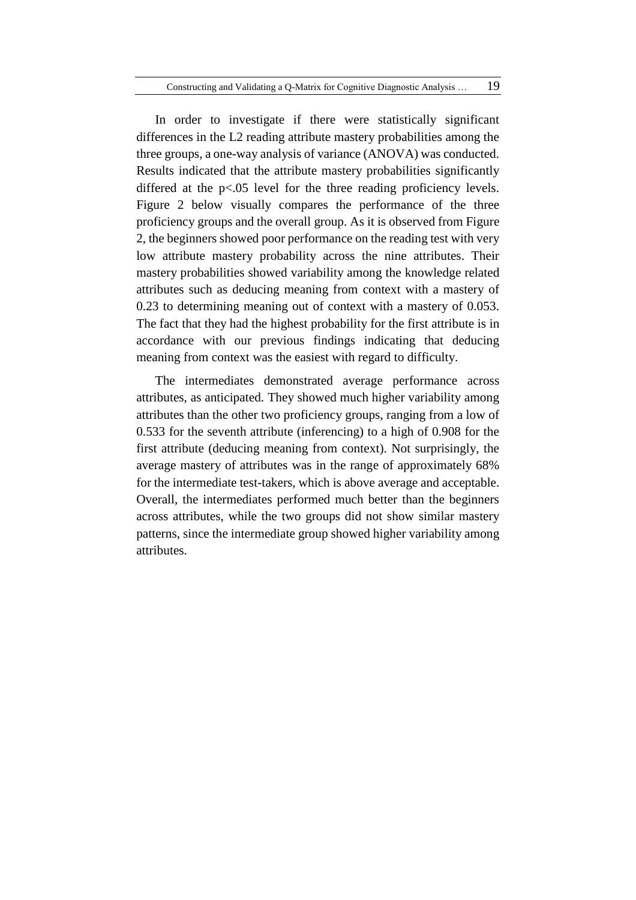In order to investigate if there were statistically significant differences in the L2 reading attribute mastery probabilities among the three groups, a one-way analysis of variance (ANOVA) was conducted. Results indicated that the attribute mastery probabilities significantly differed at the p<.05 level for the three reading proficiency levels. Figure 2 below visually compares the performance of the three proficiency groups and the overall group. As it is observed from Figure 2, the beginners showed poor performance on the reading test with very low attribute mastery probability across the nine attributes. Their mastery probabilities showed variability among the knowledge related attributes such as deducing meaning from context with a mastery of 0.23 to determining meaning out of context with a mastery of 0.053. The fact that they had the highest probability for the first attribute is in accordance with our previous findings indicating that deducing meaning from context was the easiest with regard to difficulty.

The intermediates demonstrated average performance across attributes, as anticipated. They showed much higher variability among attributes than the other two proficiency groups, ranging from a low of 0.533 for the seventh attribute (inferencing) to a high of 0.908 for the first attribute (deducing meaning from context). Not surprisingly, the average mastery of attributes was in the range of approximately 68% for the intermediate test-takers, which is above average and acceptable. Overall, the intermediates performed much better than the beginners across attributes, while the two groups did not show similar mastery patterns, since the intermediate group showed higher variability among attributes.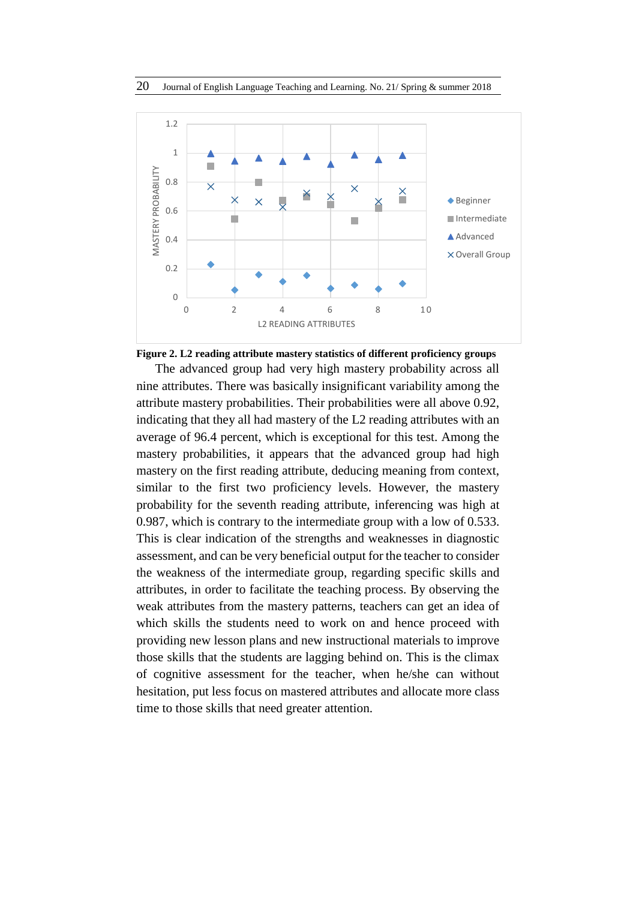

**Figure 2. L2 reading attribute mastery statistics of different proficiency groups**

The advanced group had very high mastery probability across all nine attributes. There was basically insignificant variability among the attribute mastery probabilities. Their probabilities were all above 0.92, indicating that they all had mastery of the L2 reading attributes with an average of 96.4 percent, which is exceptional for this test. Among the mastery probabilities, it appears that the advanced group had high mastery on the first reading attribute, deducing meaning from context, similar to the first two proficiency levels. However, the mastery probability for the seventh reading attribute, inferencing was high at 0.987, which is contrary to the intermediate group with a low of 0.533. This is clear indication of the strengths and weaknesses in diagnostic assessment, and can be very beneficial output for the teacher to consider the weakness of the intermediate group, regarding specific skills and attributes, in order to facilitate the teaching process. By observing the weak attributes from the mastery patterns, teachers can get an idea of which skills the students need to work on and hence proceed with providing new lesson plans and new instructional materials to improve those skills that the students are lagging behind on. This is the climax of cognitive assessment for the teacher, when he/she can without hesitation, put less focus on mastered attributes and allocate more class time to those skills that need greater attention.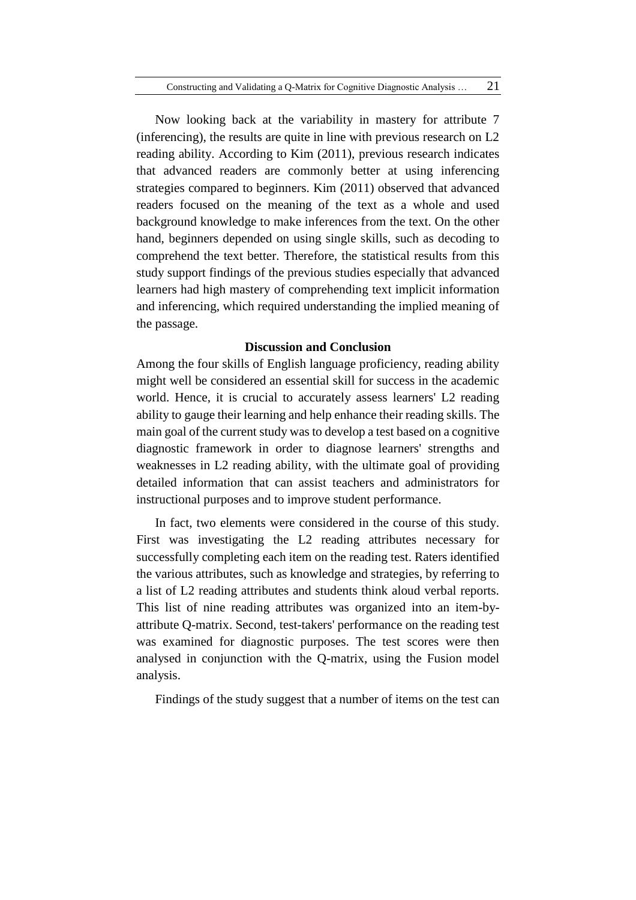Now looking back at the variability in mastery for attribute 7 (inferencing), the results are quite in line with previous research on L2 reading ability. According to Kim (2011), previous research indicates that advanced readers are commonly better at using inferencing strategies compared to beginners. Kim (2011) observed that advanced readers focused on the meaning of the text as a whole and used background knowledge to make inferences from the text. On the other hand, beginners depended on using single skills, such as decoding to comprehend the text better. Therefore, the statistical results from this study support findings of the previous studies especially that advanced learners had high mastery of comprehending text implicit information and inferencing, which required understanding the implied meaning of the passage.

## **Discussion and Conclusion**

Among the four skills of English language proficiency, reading ability might well be considered an essential skill for success in the academic world. Hence, it is crucial to accurately assess learners' L2 reading ability to gauge their learning and help enhance their reading skills. The main goal of the current study was to develop a test based on a cognitive diagnostic framework in order to diagnose learners' strengths and weaknesses in L2 reading ability, with the ultimate goal of providing detailed information that can assist teachers and administrators for instructional purposes and to improve student performance.

In fact, two elements were considered in the course of this study. First was investigating the L2 reading attributes necessary for successfully completing each item on the reading test. Raters identified the various attributes, such as knowledge and strategies, by referring to a list of L2 reading attributes and students think aloud verbal reports. This list of nine reading attributes was organized into an item-byattribute Q-matrix. Second, test-takers' performance on the reading test was examined for diagnostic purposes. The test scores were then analysed in conjunction with the Q-matrix, using the Fusion model analysis.

Findings of the study suggest that a number of items on the test can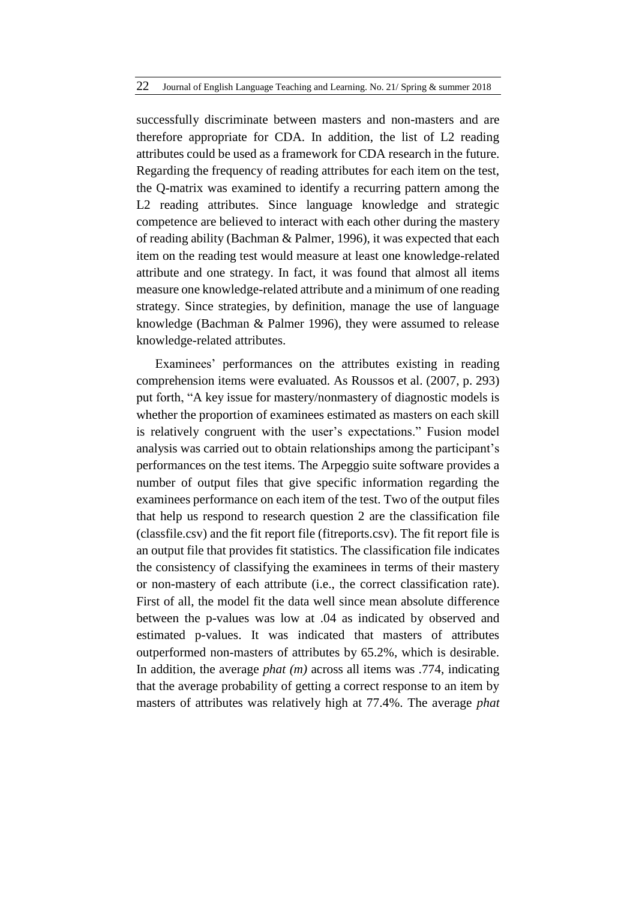successfully discriminate between masters and non-masters and are therefore appropriate for CDA. In addition, the list of L2 reading attributes could be used as a framework for CDA research in the future. Regarding the frequency of reading attributes for each item on the test, the Q-matrix was examined to identify a recurring pattern among the L2 reading attributes. Since language knowledge and strategic competence are believed to interact with each other during the mastery of reading ability (Bachman & Palmer, 1996), it was expected that each item on the reading test would measure at least one knowledge-related attribute and one strategy. In fact, it was found that almost all items measure one knowledge-related attribute and a minimum of one reading strategy. Since strategies, by definition, manage the use of language knowledge (Bachman & Palmer 1996), they were assumed to release knowledge-related attributes.

Examinees' performances on the attributes existing in reading comprehension items were evaluated. As Roussos et al. (2007, p. 293) put forth, "A key issue for mastery/nonmastery of diagnostic models is whether the proportion of examinees estimated as masters on each skill is relatively congruent with the user's expectations." Fusion model analysis was carried out to obtain relationships among the participant's performances on the test items. The Arpeggio suite software provides a number of output files that give specific information regarding the examinees performance on each item of the test. Two of the output files that help us respond to research question 2 are the classification file (classfile.csv) and the fit report file (fitreports.csv). The fit report file is an output file that provides fit statistics. The classification file indicates the consistency of classifying the examinees in terms of their mastery or non-mastery of each attribute (i.e., the correct classification rate). First of all, the model fit the data well since mean absolute difference between the p-values was low at .04 as indicated by observed and estimated p-values. It was indicated that masters of attributes outperformed non-masters of attributes by 65.2%, which is desirable. In addition, the average *phat (m)* across all items was .774, indicating that the average probability of getting a correct response to an item by masters of attributes was relatively high at 77.4%. The average *phat*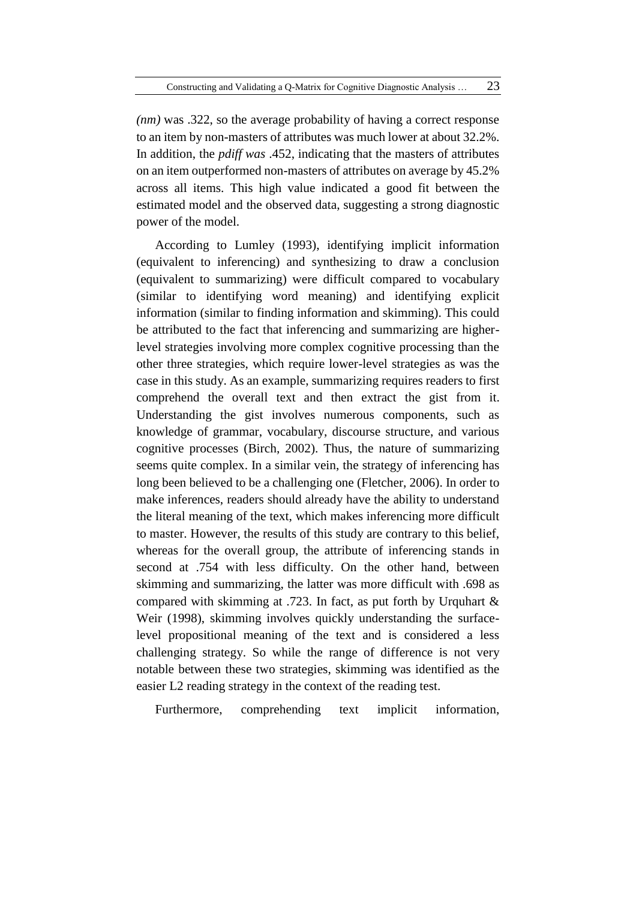*(nm)* was .322, so the average probability of having a correct response to an item by non-masters of attributes was much lower at about 32.2%. In addition, the *pdiff was* .452, indicating that the masters of attributes on an item outperformed non-masters of attributes on average by 45.2% across all items. This high value indicated a good fit between the estimated model and the observed data, suggesting a strong diagnostic power of the model.

According to Lumley (1993), identifying implicit information (equivalent to inferencing) and synthesizing to draw a conclusion (equivalent to summarizing) were difficult compared to vocabulary (similar to identifying word meaning) and identifying explicit information (similar to finding information and skimming). This could be attributed to the fact that inferencing and summarizing are higherlevel strategies involving more complex cognitive processing than the other three strategies, which require lower-level strategies as was the case in this study. As an example, summarizing requires readers to first comprehend the overall text and then extract the gist from it. Understanding the gist involves numerous components, such as knowledge of grammar, vocabulary, discourse structure, and various cognitive processes (Birch, 2002). Thus, the nature of summarizing seems quite complex. In a similar vein, the strategy of inferencing has long been believed to be a challenging one (Fletcher, 2006). In order to make inferences, readers should already have the ability to understand the literal meaning of the text, which makes inferencing more difficult to master. However, the results of this study are contrary to this belief, whereas for the overall group, the attribute of inferencing stands in second at .754 with less difficulty. On the other hand, between skimming and summarizing, the latter was more difficult with .698 as compared with skimming at .723. In fact, as put forth by Urquhart & Weir (1998), skimming involves quickly understanding the surfacelevel propositional meaning of the text and is considered a less challenging strategy. So while the range of difference is not very notable between these two strategies, skimming was identified as the easier L2 reading strategy in the context of the reading test.

Furthermore, comprehending text implicit information,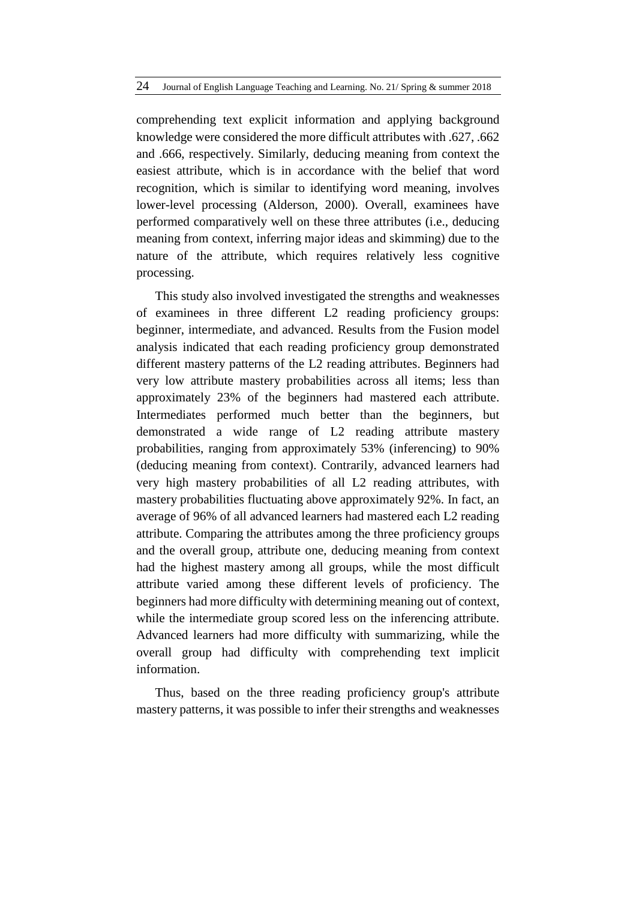comprehending text explicit information and applying background knowledge were considered the more difficult attributes with .627, .662 and .666, respectively. Similarly, deducing meaning from context the easiest attribute, which is in accordance with the belief that word recognition, which is similar to identifying word meaning, involves lower-level processing (Alderson, 2000). Overall, examinees have performed comparatively well on these three attributes (i.e., deducing meaning from context, inferring major ideas and skimming) due to the nature of the attribute, which requires relatively less cognitive processing.

This study also involved investigated the strengths and weaknesses of examinees in three different L2 reading proficiency groups: beginner, intermediate, and advanced. Results from the Fusion model analysis indicated that each reading proficiency group demonstrated different mastery patterns of the L2 reading attributes. Beginners had very low attribute mastery probabilities across all items; less than approximately 23% of the beginners had mastered each attribute. Intermediates performed much better than the beginners, but demonstrated a wide range of L2 reading attribute mastery probabilities, ranging from approximately 53% (inferencing) to 90% (deducing meaning from context). Contrarily, advanced learners had very high mastery probabilities of all L2 reading attributes, with mastery probabilities fluctuating above approximately 92%. In fact, an average of 96% of all advanced learners had mastered each L2 reading attribute. Comparing the attributes among the three proficiency groups and the overall group, attribute one, deducing meaning from context had the highest mastery among all groups, while the most difficult attribute varied among these different levels of proficiency. The beginners had more difficulty with determining meaning out of context, while the intermediate group scored less on the inferencing attribute. Advanced learners had more difficulty with summarizing, while the overall group had difficulty with comprehending text implicit information.

Thus, based on the three reading proficiency group's attribute mastery patterns, it was possible to infer their strengths and weaknesses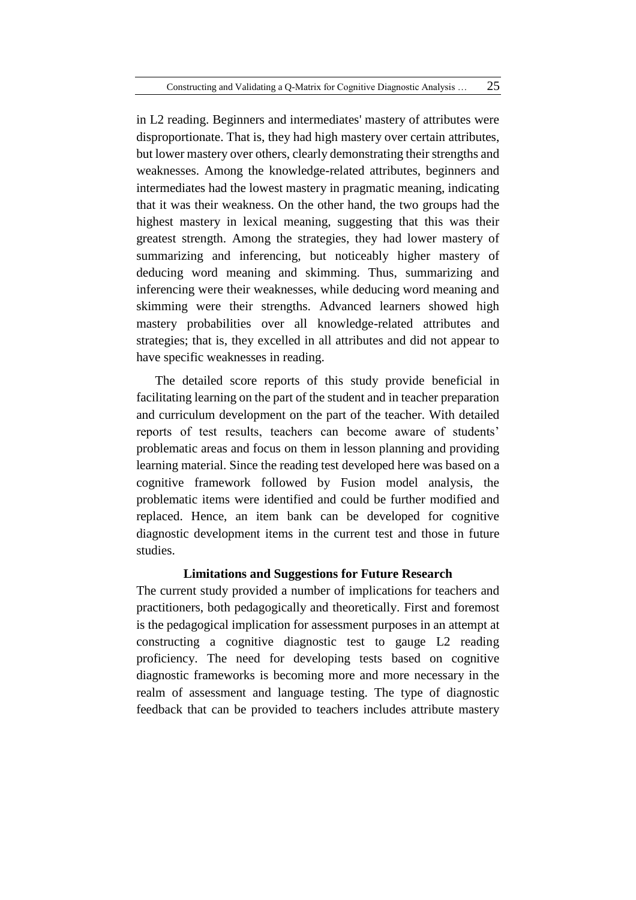in L2 reading. Beginners and intermediates' mastery of attributes were disproportionate. That is, they had high mastery over certain attributes, but lower mastery over others, clearly demonstrating their strengths and weaknesses. Among the knowledge-related attributes, beginners and intermediates had the lowest mastery in pragmatic meaning, indicating that it was their weakness. On the other hand, the two groups had the highest mastery in lexical meaning, suggesting that this was their greatest strength. Among the strategies, they had lower mastery of summarizing and inferencing, but noticeably higher mastery of deducing word meaning and skimming. Thus, summarizing and inferencing were their weaknesses, while deducing word meaning and skimming were their strengths. Advanced learners showed high mastery probabilities over all knowledge-related attributes and strategies; that is, they excelled in all attributes and did not appear to have specific weaknesses in reading.

The detailed score reports of this study provide beneficial in facilitating learning on the part of the student and in teacher preparation and curriculum development on the part of the teacher. With detailed reports of test results, teachers can become aware of students' problematic areas and focus on them in lesson planning and providing learning material. Since the reading test developed here was based on a cognitive framework followed by Fusion model analysis, the problematic items were identified and could be further modified and replaced. Hence, an item bank can be developed for cognitive diagnostic development items in the current test and those in future studies.

## **Limitations and Suggestions for Future Research**

The current study provided a number of implications for teachers and practitioners, both pedagogically and theoretically. First and foremost is the pedagogical implication for assessment purposes in an attempt at constructing a cognitive diagnostic test to gauge L2 reading proficiency. The need for developing tests based on cognitive diagnostic frameworks is becoming more and more necessary in the realm of assessment and language testing. The type of diagnostic feedback that can be provided to teachers includes attribute mastery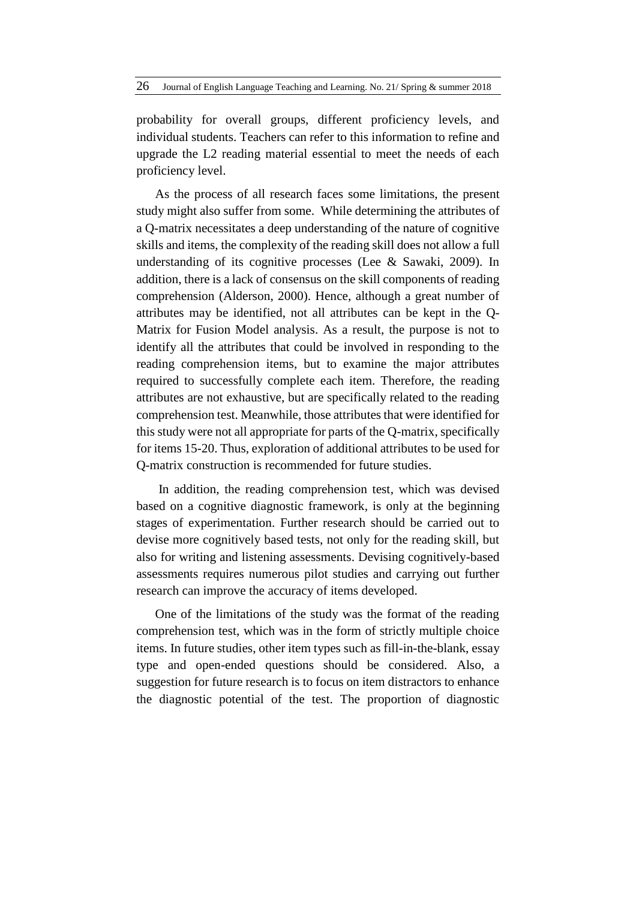probability for overall groups, different proficiency levels, and individual students. Teachers can refer to this information to refine and upgrade the L2 reading material essential to meet the needs of each proficiency level.

As the process of all research faces some limitations, the present study might also suffer from some. While determining the attributes of a Q-matrix necessitates a deep understanding of the nature of cognitive skills and items, the complexity of the reading skill does not allow a full understanding of its cognitive processes (Lee & Sawaki, 2009). In addition, there is a lack of consensus on the skill components of reading comprehension (Alderson, 2000). Hence, although a great number of attributes may be identified, not all attributes can be kept in the Q-Matrix for Fusion Model analysis. As a result, the purpose is not to identify all the attributes that could be involved in responding to the reading comprehension items, but to examine the major attributes required to successfully complete each item. Therefore, the reading attributes are not exhaustive, but are specifically related to the reading comprehension test. Meanwhile, those attributes that were identified for this study were not all appropriate for parts of the Q-matrix, specifically for items 15-20. Thus, exploration of additional attributes to be used for Q-matrix construction is recommended for future studies.

In addition, the reading comprehension test, which was devised based on a cognitive diagnostic framework, is only at the beginning stages of experimentation. Further research should be carried out to devise more cognitively based tests, not only for the reading skill, but also for writing and listening assessments. Devising cognitively-based assessments requires numerous pilot studies and carrying out further research can improve the accuracy of items developed.

One of the limitations of the study was the format of the reading comprehension test, which was in the form of strictly multiple choice items. In future studies, other item types such as fill-in-the-blank, essay type and open-ended questions should be considered. Also, a suggestion for future research is to focus on item distractors to enhance the diagnostic potential of the test. The proportion of diagnostic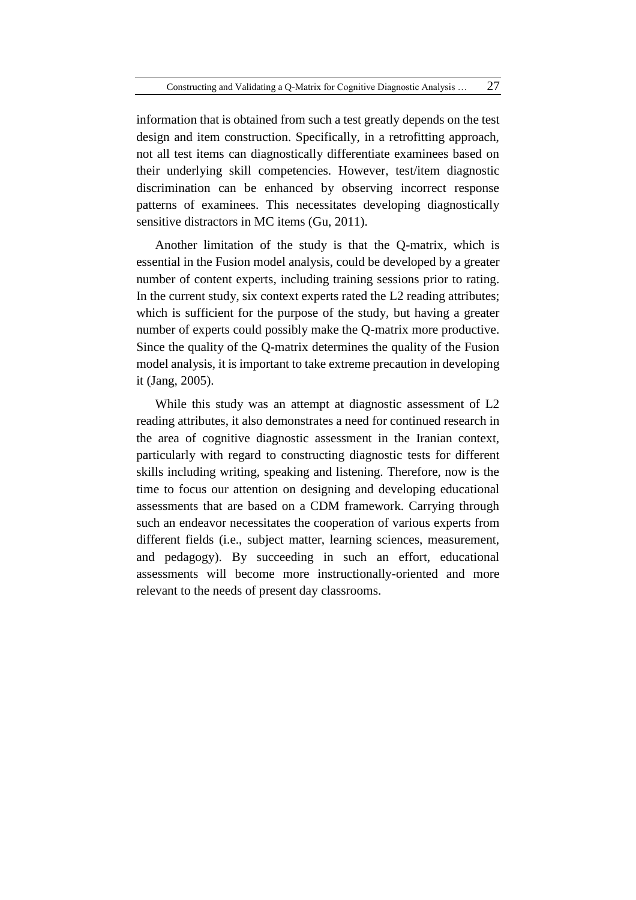information that is obtained from such a test greatly depends on the test design and item construction. Specifically, in a retrofitting approach, not all test items can diagnostically differentiate examinees based on their underlying skill competencies. However, test/item diagnostic discrimination can be enhanced by observing incorrect response patterns of examinees. This necessitates developing diagnostically sensitive distractors in MC items (Gu, 2011).

Another limitation of the study is that the Q-matrix, which is essential in the Fusion model analysis, could be developed by a greater number of content experts, including training sessions prior to rating. In the current study, six context experts rated the L2 reading attributes; which is sufficient for the purpose of the study, but having a greater number of experts could possibly make the Q-matrix more productive. Since the quality of the Q-matrix determines the quality of the Fusion model analysis, it is important to take extreme precaution in developing it (Jang, 2005).

While this study was an attempt at diagnostic assessment of L2 reading attributes, it also demonstrates a need for continued research in the area of cognitive diagnostic assessment in the Iranian context, particularly with regard to constructing diagnostic tests for different skills including writing, speaking and listening. Therefore, now is the time to focus our attention on designing and developing educational assessments that are based on a CDM framework. Carrying through such an endeavor necessitates the cooperation of various experts from different fields (i.e., subject matter, learning sciences, measurement, and pedagogy). By succeeding in such an effort, educational assessments will become more instructionally-oriented and more relevant to the needs of present day classrooms.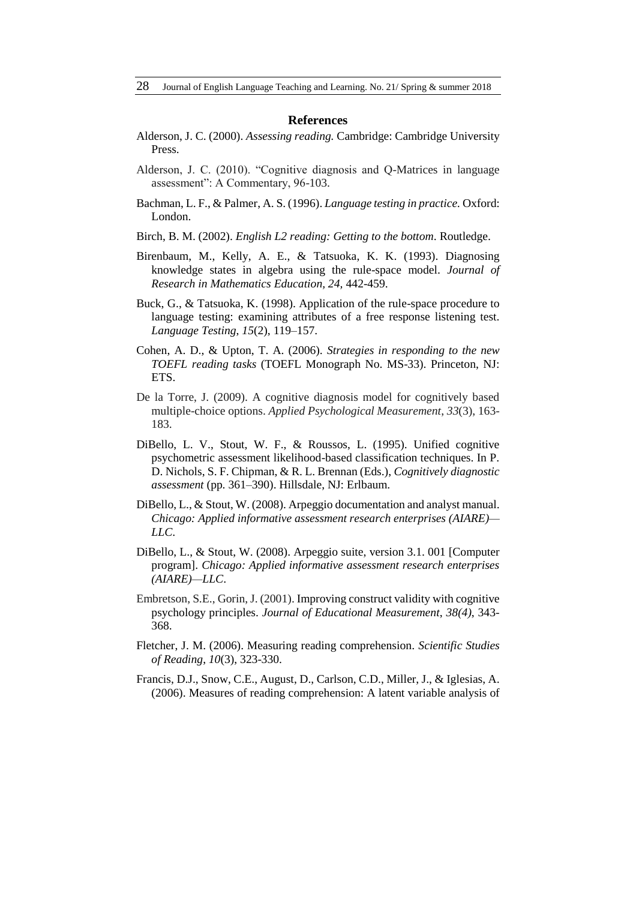#### **References**

- Alderson, J. C. (2000). *Assessing reading.* Cambridge: Cambridge University Press.
- Alderson, J. C. (2010). "Cognitive diagnosis and Q-Matrices in language assessment": A Commentary, 96-103.
- Bachman, L. F., & Palmer, A. S. (1996). *Language testing in practice.* Oxford: London.
- Birch, B. M. (2002). *English L2 reading: Getting to the bottom*. Routledge.
- Birenbaum, M., Kelly, A. E., & Tatsuoka, K. K. (1993). Diagnosing knowledge states in algebra using the rule-space model. *Journal of Research in Mathematics Education, 24,* 442-459.
- Buck, G., & Tatsuoka, K. (1998). Application of the rule-space procedure to language testing: examining attributes of a free response listening test. *Language Testing*, *15*(2), 119–157.
- Cohen, A. D., & Upton, T. A. (2006). *Strategies in responding to the new TOEFL reading tasks* (TOEFL Monograph No. MS-33). Princeton, NJ: ETS.
- De la Torre, J. (2009). A cognitive diagnosis model for cognitively based multiple-choice options. *Applied Psychological Measurement*, *33*(3), 163- 183.
- DiBello, L. V., Stout, W. F., & Roussos, L. (1995). Unified cognitive psychometric assessment likelihood-based classification techniques. In P. D. Nichols, S. F. Chipman, & R. L. Brennan (Eds.), *Cognitively diagnostic assessment* (pp. 361–390). Hillsdale, NJ: Erlbaum.
- DiBello, L., & Stout, W. (2008). Arpeggio documentation and analyst manual. *Chicago: Applied informative assessment research enterprises (AIARE)— LLC*.
- DiBello, L., & Stout, W. (2008). Arpeggio suite, version 3.1. 001 [Computer program]. *Chicago: Applied informative assessment research enterprises (AIARE)—LLC*.
- Embretson, S.E., Gorin, J. (2001). Improving construct validity with cognitive psychology principles. *Journal of Educational Measurement*, *38(4)*, 343- 368.
- Fletcher, J. M. (2006). Measuring reading comprehension. *Scientific Studies of Reading*, *10*(3), 323-330.
- Francis, D.J., Snow, C.E., August, D., Carlson, C.D., Miller, J., & Iglesias, A. (2006). Measures of reading comprehension: A latent variable analysis of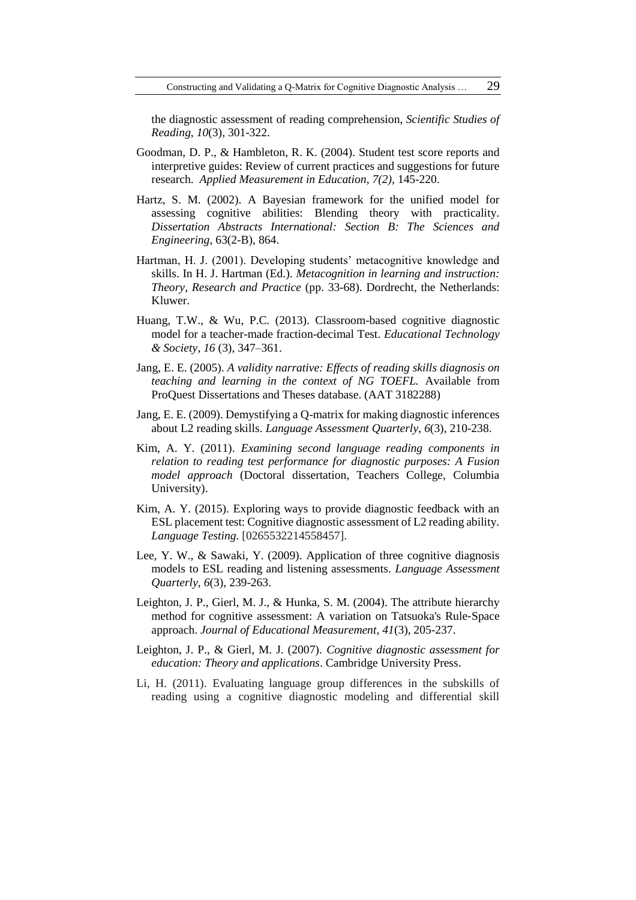the diagnostic assessment of reading comprehension, *Scientific Studies of Reading*, *10*(3), 301-322.

- Goodman, D. P., & Hambleton, R. K. (2004). Student test score reports and interpretive guides: Review of current practices and suggestions for future research. *Applied Measurement in Education, 7(2),* 145-220.
- Hartz, S. M. (2002). A Bayesian framework for the unified model for assessing cognitive abilities: Blending theory with practicality. *Dissertation Abstracts International: Section B: The Sciences and Engineering*, 63(2-B), 864.
- Hartman, H. J. (2001). Developing students' metacognitive knowledge and skills. In H. J. Hartman (Ed.). *Metacognition in learning and instruction: Theory, Research and Practice* (pp. 33-68). Dordrecht, the Netherlands: Kluwer.
- Huang, T.W., & Wu, P.C. (2013). Classroom-based cognitive diagnostic model for a teacher-made fraction-decimal Test. *Educational Technology & Society*, *16* (3), 347–361.
- Jang, E. E. (2005). *A validity narrative: Effects of reading skills diagnosis on teaching and learning in the context of NG TOEFL.* Available from ProQuest Dissertations and Theses database. (AAT 3182288)
- Jang, E. E. (2009). Demystifying a Q-matrix for making diagnostic inferences about L2 reading skills. *Language Assessment Quarterly*, *6*(3), 210-238.
- Kim, A. Y. (2011). *Examining second language reading components in relation to reading test performance for diagnostic purposes: A Fusion model approach* (Doctoral dissertation, Teachers College, Columbia University).
- Kim, A. Y. (2015). Exploring ways to provide diagnostic feedback with an ESL placement test: Cognitive diagnostic assessment of L2 reading ability. *Language Testing*. [0265532214558457].
- Lee, Y. W., & Sawaki, Y. (2009). Application of three cognitive diagnosis models to ESL reading and listening assessments. *Language Assessment Quarterly*, *6*(3), 239-263.
- Leighton, J. P., Gierl, M. J., & Hunka, S. M. (2004). The attribute hierarchy method for cognitive assessment: A variation on Tatsuoka's Rule‐Space approach. *Journal of Educational Measurement*, *41*(3), 205-237.
- Leighton, J. P., & Gierl, M. J. (2007). *Cognitive diagnostic assessment for education: Theory and applications*. Cambridge University Press.
- Li, H. (2011). Evaluating language group differences in the subskills of reading using a cognitive diagnostic modeling and differential skill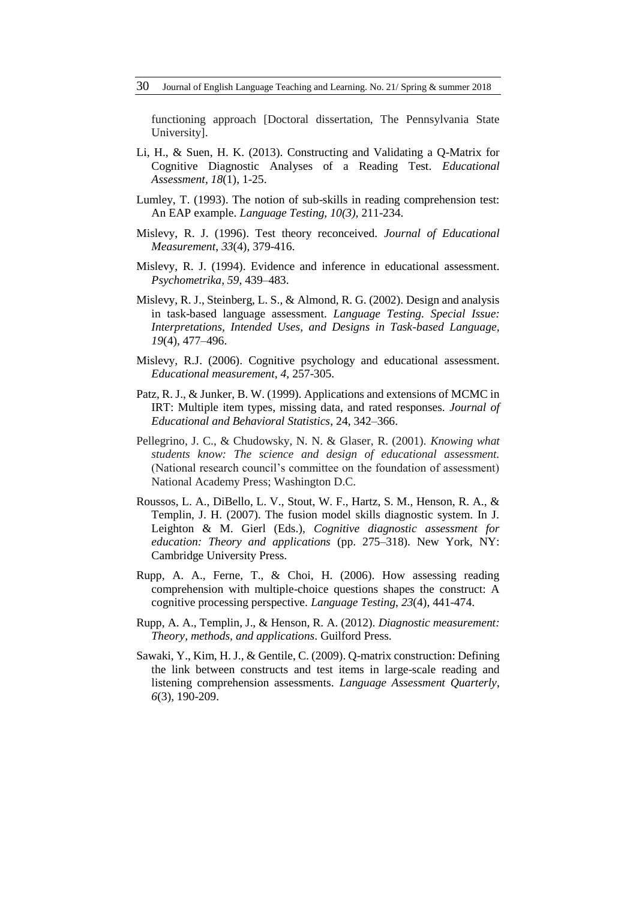functioning approach [Doctoral dissertation, The Pennsylvania State University].

- Li, H., & Suen, H. K. (2013). Constructing and Validating a Q-Matrix for Cognitive Diagnostic Analyses of a Reading Test. *Educational Assessment*, *18*(1), 1-25.
- Lumley, T. (1993). The notion of sub-skills in reading comprehension test: An EAP example. *Language Testing, 10(3),* 211-234.
- Mislevy, R. J. (1996). Test theory reconceived. *Journal of Educational Measurement*, *33*(4), 379-416.
- Mislevy, R. J. (1994). Evidence and inference in educational assessment. *Psychometrika*, *59*, 439–483.
- Mislevy, R. J., Steinberg, L. S., & Almond, R. G. (2002). Design and analysis in task-based language assessment. *Language Testing. Special Issue: Interpretations, Intended Uses, and Designs in Task-based Language, 19*(4), 477–496.
- Mislevy, R.J. (2006). Cognitive psychology and educational assessment. *Educational measurement*, *4*, 257-305.
- Patz, R. J., & Junker, B. W. (1999). Applications and extensions of MCMC in IRT: Multiple item types, missing data, and rated responses. *Journal of Educational and Behavioral Statistics*, 24, 342–366.
- Pellegrino, J. C., & Chudowsky, N. N. & Glaser, R. (2001). *Knowing what students know: The science and design of educational assessment.*  (National research council's committee on the foundation of assessment) National Academy Press; Washington D.C.
- Roussos, L. A., DiBello, L. V., Stout, W. F., Hartz, S. M., Henson, R. A., & Templin, J. H. (2007). The fusion model skills diagnostic system. In J. Leighton & M. Gierl (Eds.), *Cognitive diagnostic assessment for education: Theory and applications* (pp. 275–318). New York, NY: Cambridge University Press.
- Rupp, A. A., Ferne, T., & Choi, H. (2006). How assessing reading comprehension with multiple-choice questions shapes the construct: A cognitive processing perspective. *Language Testing*, *23*(4), 441-474.
- Rupp, A. A., Templin, J., & Henson, R. A. (2012). *Diagnostic measurement: Theory, methods, and applications*. Guilford Press.
- Sawaki, Y., Kim, H. J., & Gentile, C. (2009). Q-matrix construction: Defining the link between constructs and test items in large-scale reading and listening comprehension assessments. *Language Assessment Quarterly*, *6*(3), 190-209.